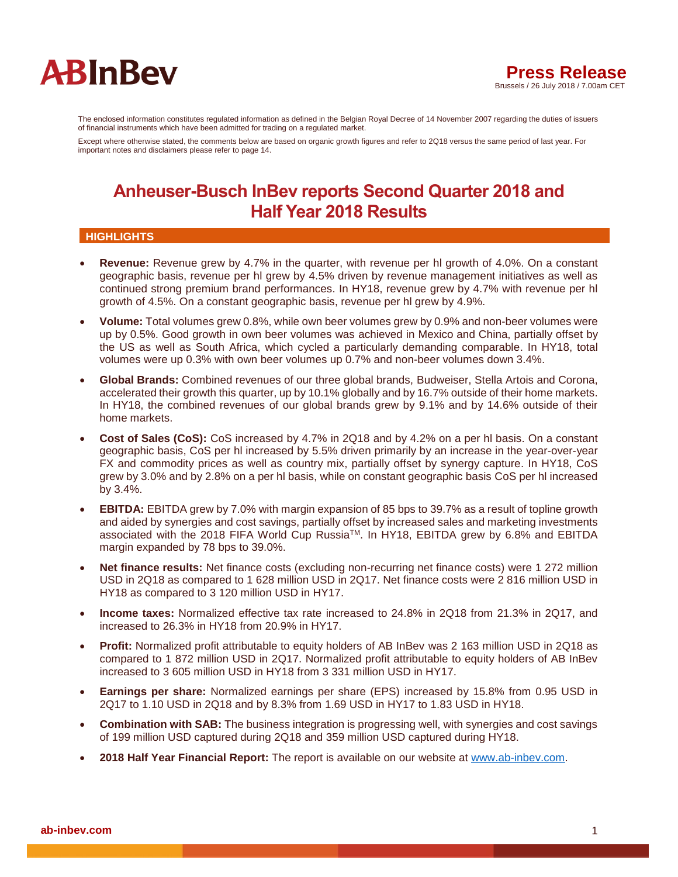

The enclosed information constitutes regulated information as defined in the Belgian Royal Decree of 14 November 2007 regarding the duties of issuers of financial instruments which have been admitted for trading on a regulated market.

Except where otherwise stated, the comments below are based on organic growth figures and refer to 2Q18 versus the same period of last year. For important notes and disclaimers please refer to page 14.

### **Anheuser-Busch InBev reports Second Quarter 2018 and Half Year 2018 Results**

#### **HIGHLIGHTS**

- **Revenue:** Revenue grew by 4.7% in the quarter, with revenue per hl growth of 4.0%. On a constant geographic basis, revenue per hl grew by 4.5% driven by revenue management initiatives as well as continued strong premium brand performances. In HY18, revenue grew by 4.7% with revenue per hl growth of 4.5%. On a constant geographic basis, revenue per hl grew by 4.9%.
- **Volume:** Total volumes grew 0.8%, while own beer volumes grew by 0.9% and non-beer volumes were up by 0.5%. Good growth in own beer volumes was achieved in Mexico and China, partially offset by the US as well as South Africa, which cycled a particularly demanding comparable. In HY18, total volumes were up 0.3% with own beer volumes up 0.7% and non-beer volumes down 3.4%.
- **Global Brands:** Combined revenues of our three global brands, Budweiser, Stella Artois and Corona, accelerated their growth this quarter, up by 10.1% globally and by 16.7% outside of their home markets. In HY18, the combined revenues of our global brands grew by 9.1% and by 14.6% outside of their home markets.
- **Cost of Sales (CoS):** CoS increased by 4.7% in 2Q18 and by 4.2% on a per hl basis. On a constant geographic basis, CoS per hl increased by 5.5% driven primarily by an increase in the year-over-year FX and commodity prices as well as country mix, partially offset by synergy capture. In HY18, CoS grew by 3.0% and by 2.8% on a per hl basis, while on constant geographic basis CoS per hl increased by 3.4%.
- **EBITDA:** EBITDA grew by 7.0% with margin expansion of 85 bps to 39.7% as a result of topline growth and aided by synergies and cost savings, partially offset by increased sales and marketing investments associated with the 2018 FIFA World Cup RussiaTM. In HY18, EBITDA grew by 6.8% and EBITDA margin expanded by 78 bps to 39.0%.
- **Net finance results:** Net finance costs (excluding non-recurring net finance costs) were 1 272 million USD in 2Q18 as compared to 1 628 million USD in 2Q17. Net finance costs were 2 816 million USD in HY18 as compared to 3 120 million USD in HY17.
- **Income taxes:** Normalized effective tax rate increased to 24.8% in 2Q18 from 21.3% in 2Q17, and increased to 26.3% in HY18 from 20.9% in HY17.
- **Profit:** Normalized profit attributable to equity holders of AB InBev was 2 163 million USD in 2Q18 as compared to 1 872 million USD in 2Q17. Normalized profit attributable to equity holders of AB InBev increased to 3 605 million USD in HY18 from 3 331 million USD in HY17.
- **Earnings per share:** Normalized earnings per share (EPS) increased by 15.8% from 0.95 USD in 2Q17 to 1.10 USD in 2Q18 and by 8.3% from 1.69 USD in HY17 to 1.83 USD in HY18.
- **Combination with SAB:** The business integration is progressing well, with synergies and cost savings of 199 million USD captured during 2Q18 and 359 million USD captured during HY18.
- **2018 Half Year Financial Report:** The report is available on our website at [www.ab-inbev.com.](http://www.ab-inbev.com/)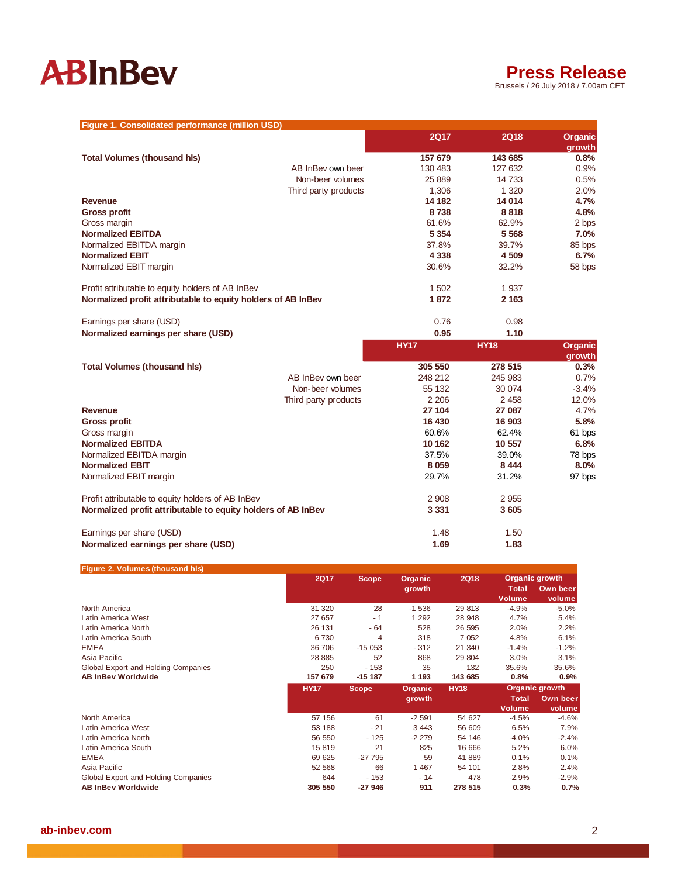| <b>Press Release</b>            |  |
|---------------------------------|--|
| Drunash/26, hib/2010/7.00cm CET |  |

Brussels / 26 July 2018 / 7.00am CET

| Figure 1. Consolidated performance (million USD)                 |                      |                   | <b>2Q17</b>              |                | <b>2Q18</b>   | <b>Organic</b>                           |
|------------------------------------------------------------------|----------------------|-------------------|--------------------------|----------------|---------------|------------------------------------------|
| <b>Total Volumes (thousand hls)</b>                              |                      |                   | 157 679                  |                | 143 685       | growth<br>0.8%                           |
|                                                                  | AB InBey own beer    |                   | 130 483                  |                | 127 632       | 0.9%                                     |
|                                                                  | Non-beer volumes     |                   | 25 889                   |                | 14 733        | 0.5%                                     |
|                                                                  | Third party products |                   | 1.306                    |                | 1 3 2 0       | 2.0%                                     |
| <b>Revenue</b>                                                   |                      |                   | 14 182                   |                | 14 014        | 4.7%                                     |
|                                                                  |                      |                   | 8738                     |                | 8818          | 4.8%                                     |
| <b>Gross profit</b>                                              |                      |                   | 61.6%                    |                | 62.9%         |                                          |
| Gross margin<br><b>Normalized EBITDA</b>                         |                      |                   | 5 3 5 4                  |                | 5568          | 2 bps<br>7.0%                            |
| Normalized EBITDA margin                                         |                      |                   | 37.8%                    |                | 39.7%         | 85 bps                                   |
| <b>Normalized EBIT</b>                                           |                      |                   | 4 3 3 8                  |                | 4 5 0 9       | 6.7%                                     |
| Normalized EBIT margin                                           |                      |                   | 30.6%                    |                | 32.2%         |                                          |
|                                                                  |                      |                   |                          |                |               | 58 bps                                   |
| Profit attributable to equity holders of AB InBev                |                      |                   | 1 502                    |                | 1937          |                                          |
| Normalized profit attributable to equity holders of AB InBev     |                      |                   | 1872                     |                | 2 1 6 3       |                                          |
| Earnings per share (USD)                                         |                      |                   |                          | 0.76           | 0.98          |                                          |
| Normalized earnings per share (USD)                              |                      |                   |                          | 0.95           | 1.10          |                                          |
|                                                                  |                      |                   | <b>HY17</b>              |                | <b>HY18</b>   | Organic                                  |
|                                                                  |                      |                   |                          |                |               | growth                                   |
| <b>Total Volumes (thousand hls)</b>                              |                      |                   | 305 550                  |                | 278 515       | 0.3%                                     |
|                                                                  | AB InBey own beer    |                   | 248 212                  |                | 245 983       | 0.7%                                     |
|                                                                  | Non-beer volumes     |                   | 55 132                   |                | 30 074        | $-3.4%$                                  |
|                                                                  | Third party products |                   | 2 2 0 6                  |                | 2 4 5 8       | 12.0%                                    |
| <b>Revenue</b>                                                   |                      |                   | 27 104                   |                | 27 087        | 4.7%                                     |
| <b>Gross profit</b>                                              |                      |                   | 16 430                   |                | 16 903        | 5.8%                                     |
| Gross margin                                                     |                      |                   | 60.6%                    |                | 62.4%         | 61 bps                                   |
| <b>Normalized EBITDA</b>                                         |                      |                   | 10 162                   |                | 10 557        | 6.8%                                     |
| Normalized EBITDA margin                                         |                      |                   | 37.5%                    |                | 39.0%         | 78 bps                                   |
| <b>Normalized EBIT</b>                                           |                      |                   | 8 0 5 9                  |                | 8 4 4 4       | 8.0%                                     |
| Normalized EBIT margin                                           |                      |                   | 29.7%                    |                | 31.2%         | 97 bps                                   |
| Profit attributable to equity holders of AB InBev                |                      |                   | 2 908                    |                | 2 9 5 5       |                                          |
| Normalized profit attributable to equity holders of AB InBev     |                      |                   | 3 3 3 1                  |                | 3605          |                                          |
| Earnings per share (USD)                                         |                      |                   |                          | 1.48           | 1.50          |                                          |
| Normalized earnings per share (USD)                              |                      |                   | 1.69                     |                | 1.83          |                                          |
|                                                                  |                      |                   |                          |                |               |                                          |
| Figure 2. Volumes (thousand hls)                                 |                      |                   |                          |                |               |                                          |
|                                                                  | <b>2Q17</b>          | <b>Scope</b>      | <b>Organic</b><br>growth | <b>2Q18</b>    | <b>Total</b>  | <b>Organic growth</b><br><b>Own beer</b> |
|                                                                  |                      |                   |                          |                | <b>Volume</b> | volume                                   |
| North America                                                    | 31 320               | 28                | $-1536$                  | 29 813         | $-4.9%$       | $-5.0%$                                  |
| Latin America West                                               | 27 657               | $-1$              | 1 2 9 2                  | 28 948         | 4.7%          | 5.4%                                     |
| Latin America North                                              | 26 131               | $-64$             | 528                      | 26 595         | 2.0%          | 2.2%                                     |
| Latin America South                                              | 6730                 | 4                 | 318                      | 7 0 5 2        | 4.8%          | 6.1%                                     |
| <b>EMEA</b>                                                      | 36 706               | $-15053$          | $-312$                   | 21 340         | $-1.4%$       | $-1.2%$                                  |
| Asia Pacific                                                     | 28 8 85              | 52                | 868                      | 29 804         | 3.0%          | 3.1%                                     |
| Global Export and Holding Companies<br><b>AB InBev Worldwide</b> | 250<br>157 679       | $-153$<br>-15 187 | 35<br>1 1 9 3            | 132<br>143 685 | 35.6%<br>0.8% | 35.6%<br>0.9%                            |
|                                                                  |                      |                   |                          |                |               |                                          |
|                                                                  | <b>HY17</b>          | <b>Scope</b>      | Organic                  | <b>HY18</b>    | Total         | <b>Organic growth</b>                    |
|                                                                  |                      |                   | growth                   |                | <b>Volume</b> | Own beer<br>volume                       |
|                                                                  |                      |                   |                          |                |               |                                          |

|                                     |         |          | <b>GIVWGI</b> |         | .             | $1$     |
|-------------------------------------|---------|----------|---------------|---------|---------------|---------|
|                                     |         |          |               |         | <b>Volume</b> | volume  |
| North America                       | 57 156  | 61       | $-2591$       | 54 627  | $-4.5%$       | $-4.6%$ |
| Latin America West                  | 53 188  | $-21$    | 3 4 4 3       | 56 609  | 6.5%          | 7.9%    |
| Latin America North                 | 56 550  | $-125$   | $-2279$       | 54 146  | $-4.0%$       | $-2.4%$ |
| Latin America South                 | 15819   | 21       | 825           | 16 666  | 5.2%          | 6.0%    |
| <b>EMEA</b>                         | 69 625  | $-27795$ | 59            | 41 889  | 0.1%          | 0.1%    |
| Asia Pacific                        | 52 568  | 66       | 1 467         | 54 101  | 2.8%          | 2.4%    |
| Global Export and Holding Companies | 644     | $-153$   | $-14$         | 478     | $-2.9%$       | $-2.9%$ |
| <b>AB InBev Worldwide</b>           | 305 550 | $-27946$ | 911           | 278 515 | 0.3%          | 0.7%    |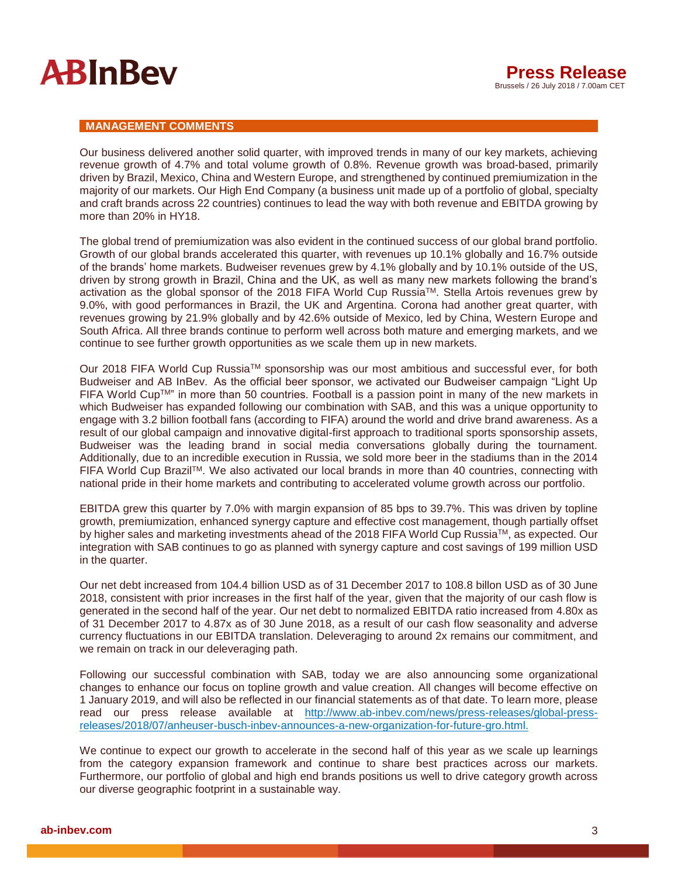#### **MANAGEMENT COMMENTS**

Our business delivered another solid quarter, with improved trends in many of our key markets, achieving revenue growth of 4.7% and total volume growth of 0.8%. Revenue growth was broad-based, primarily driven by Brazil, Mexico, China and Western Europe, and strengthened by continued premiumization in the majority of our markets. Our High End Company (a business unit made up of a portfolio of global, specialty and craft brands across 22 countries) continues to lead the way with both revenue and EBITDA growing by more than 20% in HY18.

The global trend of premiumization was also evident in the continued success of our global brand portfolio. Growth of our global brands accelerated this quarter, with revenues up 10.1% globally and 16.7% outside of the brands' home markets. Budweiser revenues grew by 4.1% globally and by 10.1% outside of the US, driven by strong growth in Brazil, China and the UK, as well as many new markets following the brand's activation as the global sponsor of the 2018 FIFA World Cup RussiaTM. Stella Artois revenues grew by 9.0%, with good performances in Brazil, the UK and Argentina. Corona had another great quarter, with revenues growing by 21.9% globally and by 42.6% outside of Mexico, led by China, Western Europe and South Africa. All three brands continue to perform well across both mature and emerging markets, and we continue to see further growth opportunities as we scale them up in new markets.

Our 2018 FIFA World Cup Russia™ sponsorship was our most ambitious and successful ever, for both Budweiser and AB InBev. As the official beer sponsor, we activated our Budweiser campaign "Light Up FIFA World CupTM" in more than 50 countries. Football is a passion point in many of the new markets in which Budweiser has expanded following our combination with SAB, and this was a unique opportunity to engage with 3.2 billion football fans (according to FIFA) around the world and drive brand awareness. As a result of our global campaign and innovative digital-first approach to traditional sports sponsorship assets, Budweiser was the leading brand in social media conversations globally during the tournament. Additionally, due to an incredible execution in Russia, we sold more beer in the stadiums than in the 2014 FIFA World Cup BrazilTM. We also activated our local brands in more than 40 countries, connecting with national pride in their home markets and contributing to accelerated volume growth across our portfolio.

EBITDA grew this quarter by 7.0% with margin expansion of 85 bps to 39.7%. This was driven by topline growth, premiumization, enhanced synergy capture and effective cost management, though partially offset by higher sales and marketing investments ahead of the 2018 FIFA World Cup Russia™, as expected. Our integration with SAB continues to go as planned with synergy capture and cost savings of 199 million USD in the quarter.

Our net debt increased from 104.4 billion USD as of 31 December 2017 to 108.8 billon USD as of 30 June 2018, consistent with prior increases in the first half of the year, given that the majority of our cash flow is generated in the second half of the year. Our net debt to normalized EBITDA ratio increased from 4.80x as of 31 December 2017 to 4.87x as of 30 June 2018, as a result of our cash flow seasonality and adverse currency fluctuations in our EBITDA translation. Deleveraging to around 2x remains our commitment, and we remain on track in our deleveraging path.

Following our successful combination with SAB, today we are also announcing some organizational changes to enhance our focus on topline growth and value creation. All changes will become effective on 1 January 2019, and will also be reflected in our financial statements as of that date. To learn more, please read our press release available at [http://www.ab-inbev.com/news/press-releases/global-press](http://www.ab-inbev.com/news/press-releases/global-press-releases/2018/07/anheuser-busch-inbev-announces-a-new-organization-for-future-gro.html)[releases/2018/07/anheuser-busch-inbev-announces-a-new-organization-for-future-gro.html.](http://www.ab-inbev.com/news/press-releases/global-press-releases/2018/07/anheuser-busch-inbev-announces-a-new-organization-for-future-gro.html)

We continue to expect our growth to accelerate in the second half of this year as we scale up learnings from the category expansion framework and continue to share best practices across our markets. Furthermore, our portfolio of global and high end brands positions us well to drive category growth across our diverse geographic footprint in a sustainable way.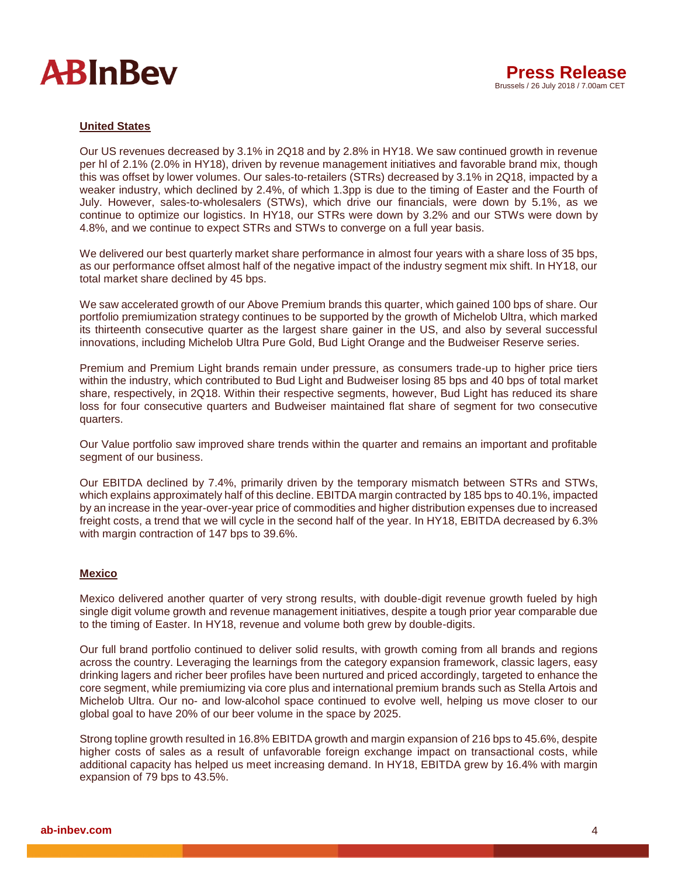

#### **United States**

Our US revenues decreased by 3.1% in 2Q18 and by 2.8% in HY18. We saw continued growth in revenue per hl of 2.1% (2.0% in HY18), driven by revenue management initiatives and favorable brand mix, though this was offset by lower volumes. Our sales-to-retailers (STRs) decreased by 3.1% in 2Q18, impacted by a weaker industry, which declined by 2.4%, of which 1.3pp is due to the timing of Easter and the Fourth of July. However, sales-to-wholesalers (STWs), which drive our financials, were down by 5.1%, as we continue to optimize our logistics. In HY18, our STRs were down by 3.2% and our STWs were down by 4.8%, and we continue to expect STRs and STWs to converge on a full year basis.

We delivered our best quarterly market share performance in almost four years with a share loss of 35 bps, as our performance offset almost half of the negative impact of the industry segment mix shift. In HY18, our total market share declined by 45 bps.

We saw accelerated growth of our Above Premium brands this quarter, which gained 100 bps of share. Our portfolio premiumization strategy continues to be supported by the growth of Michelob Ultra, which marked its thirteenth consecutive quarter as the largest share gainer in the US, and also by several successful innovations, including Michelob Ultra Pure Gold, Bud Light Orange and the Budweiser Reserve series.

Premium and Premium Light brands remain under pressure, as consumers trade-up to higher price tiers within the industry, which contributed to Bud Light and Budweiser losing 85 bps and 40 bps of total market share, respectively, in 2Q18. Within their respective segments, however, Bud Light has reduced its share loss for four consecutive quarters and Budweiser maintained flat share of segment for two consecutive quarters.

Our Value portfolio saw improved share trends within the quarter and remains an important and profitable segment of our business.

Our EBITDA declined by 7.4%, primarily driven by the temporary mismatch between STRs and STWs, which explains approximately half of this decline. EBITDA margin contracted by 185 bps to 40.1%, impacted by an increase in the year-over-year price of commodities and higher distribution expenses due to increased freight costs, a trend that we will cycle in the second half of the year. In HY18, EBITDA decreased by 6.3% with margin contraction of 147 bps to 39.6%.

#### **Mexico**

Mexico delivered another quarter of very strong results, with double-digit revenue growth fueled by high single digit volume growth and revenue management initiatives, despite a tough prior year comparable due to the timing of Easter. In HY18, revenue and volume both grew by double-digits.

Our full brand portfolio continued to deliver solid results, with growth coming from all brands and regions across the country. Leveraging the learnings from the category expansion framework, classic lagers, easy drinking lagers and richer beer profiles have been nurtured and priced accordingly, targeted to enhance the core segment, while premiumizing via core plus and international premium brands such as Stella Artois and Michelob Ultra. Our no- and low-alcohol space continued to evolve well, helping us move closer to our global goal to have 20% of our beer volume in the space by 2025.

Strong topline growth resulted in 16.8% EBITDA growth and margin expansion of 216 bps to 45.6%, despite higher costs of sales as a result of unfavorable foreign exchange impact on transactional costs, while additional capacity has helped us meet increasing demand. In HY18, EBITDA grew by 16.4% with margin expansion of 79 bps to 43.5%.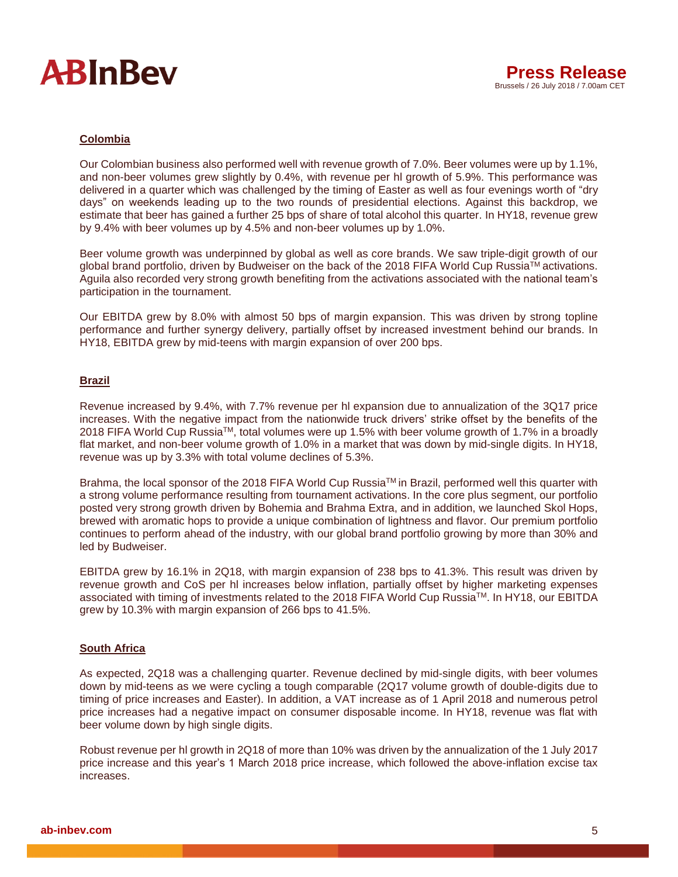

#### **Colombia**

Our Colombian business also performed well with revenue growth of 7.0%. Beer volumes were up by 1.1%, and non-beer volumes grew slightly by 0.4%, with revenue per hl growth of 5.9%. This performance was delivered in a quarter which was challenged by the timing of Easter as well as four evenings worth of "dry days" on weekends leading up to the two rounds of presidential elections. Against this backdrop, we estimate that beer has gained a further 25 bps of share of total alcohol this quarter. In HY18, revenue grew by 9.4% with beer volumes up by 4.5% and non-beer volumes up by 1.0%.

Beer volume growth was underpinned by global as well as core brands. We saw triple-digit growth of our global brand portfolio, driven by Budweiser on the back of the 2018 FIFA World Cup Russia™ activations. Aguila also recorded very strong growth benefiting from the activations associated with the national team's participation in the tournament.

Our EBITDA grew by 8.0% with almost 50 bps of margin expansion. This was driven by strong topline performance and further synergy delivery, partially offset by increased investment behind our brands. In HY18, EBITDA grew by mid-teens with margin expansion of over 200 bps.

#### **Brazil**

Revenue increased by 9.4%, with 7.7% revenue per hl expansion due to annualization of the 3Q17 price increases. With the negative impact from the nationwide truck drivers' strike offset by the benefits of the 2018 FIFA World Cup Russia™, total volumes were up 1.5% with beer volume growth of 1.7% in a broadly flat market, and non-beer volume growth of 1.0% in a market that was down by mid-single digits. In HY18, revenue was up by 3.3% with total volume declines of 5.3%.

Brahma, the local sponsor of the 2018 FIFA World Cup Russia<sup>TM</sup> in Brazil, performed well this quarter with a strong volume performance resulting from tournament activations. In the core plus segment, our portfolio posted very strong growth driven by Bohemia and Brahma Extra, and in addition, we launched Skol Hops, brewed with aromatic hops to provide a unique combination of lightness and flavor. Our premium portfolio continues to perform ahead of the industry, with our global brand portfolio growing by more than 30% and led by Budweiser.

EBITDA grew by 16.1% in 2Q18, with margin expansion of 238 bps to 41.3%. This result was driven by revenue growth and CoS per hl increases below inflation, partially offset by higher marketing expenses associated with timing of investments related to the 2018 FIFA World Cup Russia™. In HY18, our EBITDA grew by 10.3% with margin expansion of 266 bps to 41.5%.

#### **South Africa**

As expected, 2Q18 was a challenging quarter. Revenue declined by mid-single digits, with beer volumes down by mid-teens as we were cycling a tough comparable (2Q17 volume growth of double-digits due to timing of price increases and Easter). In addition, a VAT increase as of 1 April 2018 and numerous petrol price increases had a negative impact on consumer disposable income. In HY18, revenue was flat with beer volume down by high single digits.

Robust revenue per hl growth in 2Q18 of more than 10% was driven by the annualization of the 1 July 2017 price increase and this year's 1 March 2018 price increase, which followed the above-inflation excise tax increases.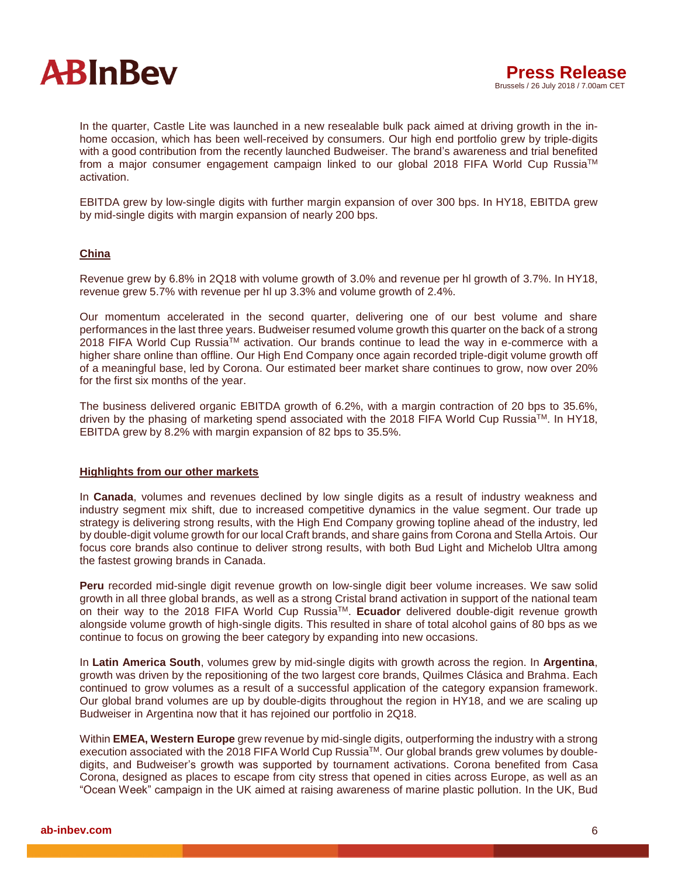

In the quarter, Castle Lite was launched in a new resealable bulk pack aimed at driving growth in the inhome occasion, which has been well-received by consumers. Our high end portfolio grew by triple-digits with a good contribution from the recently launched Budweiser. The brand's awareness and trial benefited from a major consumer engagement campaign linked to our global 2018 FIFA World Cup Russia<sup>™</sup> activation.

EBITDA grew by low-single digits with further margin expansion of over 300 bps. In HY18, EBITDA grew by mid-single digits with margin expansion of nearly 200 bps.

#### **China**

Revenue grew by 6.8% in 2Q18 with volume growth of 3.0% and revenue per hl growth of 3.7%. In HY18, revenue grew 5.7% with revenue per hl up 3.3% and volume growth of 2.4%.

Our momentum accelerated in the second quarter, delivering one of our best volume and share performances in the last three years. Budweiser resumed volume growth this quarter on the back of a strong 2018 FIFA World Cup Russia™ activation. Our brands continue to lead the way in e-commerce with a higher share online than offline. Our High End Company once again recorded triple-digit volume growth off of a meaningful base, led by Corona. Our estimated beer market share continues to grow, now over 20% for the first six months of the year.

The business delivered organic EBITDA growth of 6.2%, with a margin contraction of 20 bps to 35.6%, driven by the phasing of marketing spend associated with the 2018 FIFA World Cup Russia<sup>TM</sup>. In HY18, EBITDA grew by 8.2% with margin expansion of 82 bps to 35.5%.

#### **Highlights from our other markets**

In **Canada**, volumes and revenues declined by low single digits as a result of industry weakness and industry segment mix shift, due to increased competitive dynamics in the value segment. Our trade up strategy is delivering strong results, with the High End Company growing topline ahead of the industry, led by double-digit volume growth for our local Craft brands, and share gains from Corona and Stella Artois. Our focus core brands also continue to deliver strong results, with both Bud Light and Michelob Ultra among the fastest growing brands in Canada.

**Peru** recorded mid-single digit revenue growth on low-single digit beer volume increases. We saw solid growth in all three global brands, as well as a strong Cristal brand activation in support of the national team on their way to the 2018 FIFA World Cup RussiaTM. **Ecuador** delivered double-digit revenue growth alongside volume growth of high-single digits. This resulted in share of total alcohol gains of 80 bps as we continue to focus on growing the beer category by expanding into new occasions.

In **Latin America South**, volumes grew by mid-single digits with growth across the region. In **Argentina**, growth was driven by the repositioning of the two largest core brands, Quilmes Clásica and Brahma. Each continued to grow volumes as a result of a successful application of the category expansion framework. Our global brand volumes are up by double-digits throughout the region in HY18, and we are scaling up Budweiser in Argentina now that it has rejoined our portfolio in 2Q18.

Within **EMEA, Western Europe** grew revenue by mid-single digits, outperforming the industry with a strong execution associated with the 2018 FIFA World Cup Russia™. Our global brands grew volumes by doubledigits, and Budweiser's growth was supported by tournament activations. Corona benefited from Casa Corona, designed as places to escape from city stress that opened in cities across Europe, as well as an "Ocean Week" campaign in the UK aimed at raising awareness of marine plastic pollution. In the UK, Bud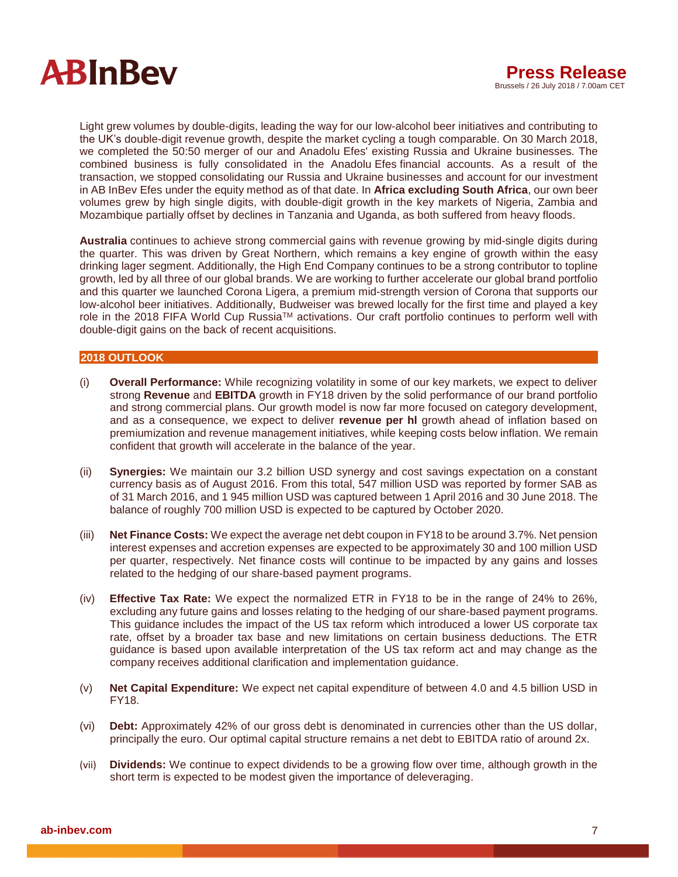

Light grew volumes by double-digits, leading the way for our low-alcohol beer initiatives and contributing to the UK's double-digit revenue growth, despite the market cycling a tough comparable. On 30 March 2018, we completed the 50:50 merger of our and Anadolu Efes' existing Russia and Ukraine businesses. The combined business is fully consolidated in the Anadolu Efes financial accounts. As a result of the transaction, we stopped consolidating our Russia and Ukraine businesses and account for our investment in AB InBev Efes under the equity method as of that date. In **Africa excluding South Africa**, our own beer volumes grew by high single digits, with double-digit growth in the key markets of Nigeria, Zambia and Mozambique partially offset by declines in Tanzania and Uganda, as both suffered from heavy floods.

**Australia** continues to achieve strong commercial gains with revenue growing by mid-single digits during the quarter. This was driven by Great Northern, which remains a key engine of growth within the easy drinking lager segment. Additionally, the High End Company continues to be a strong contributor to topline growth, led by all three of our global brands. We are working to further accelerate our global brand portfolio and this quarter we launched Corona Ligera, a premium mid-strength version of Corona that supports our low-alcohol beer initiatives. Additionally, Budweiser was brewed locally for the first time and played a key role in the 2018 FIFA World Cup Russia™ activations. Our craft portfolio continues to perform well with double-digit gains on the back of recent acquisitions.

#### **2018 OUTLOOK**

- (i) **Overall Performance:** While recognizing volatility in some of our key markets, we expect to deliver strong **Revenue** and **EBITDA** growth in FY18 driven by the solid performance of our brand portfolio and strong commercial plans. Our growth model is now far more focused on category development, and as a consequence, we expect to deliver **revenue per hl** growth ahead of inflation based on premiumization and revenue management initiatives, while keeping costs below inflation. We remain confident that growth will accelerate in the balance of the year.
- (ii) **Synergies:** We maintain our 3.2 billion USD synergy and cost savings expectation on a constant currency basis as of August 2016. From this total, 547 million USD was reported by former SAB as of 31 March 2016, and 1 945 million USD was captured between 1 April 2016 and 30 June 2018. The balance of roughly 700 million USD is expected to be captured by October 2020.
- (iii) **Net Finance Costs:** We expect the average net debt coupon in FY18 to be around 3.7%. Net pension interest expenses and accretion expenses are expected to be approximately 30 and 100 million USD per quarter, respectively. Net finance costs will continue to be impacted by any gains and losses related to the hedging of our share-based payment programs.
- (iv) **Effective Tax Rate:** We expect the normalized ETR in FY18 to be in the range of 24% to 26%, excluding any future gains and losses relating to the hedging of our share-based payment programs. This guidance includes the impact of the US tax reform which introduced a lower US corporate tax rate, offset by a broader tax base and new limitations on certain business deductions. The ETR guidance is based upon available interpretation of the US tax reform act and may change as the company receives additional clarification and implementation guidance.
- (v) **Net Capital Expenditure:** We expect net capital expenditure of between 4.0 and 4.5 billion USD in FY18.
- (vi) **Debt:** Approximately 42% of our gross debt is denominated in currencies other than the US dollar, principally the euro. Our optimal capital structure remains a net debt to EBITDA ratio of around 2x.
- (vii) **Dividends:** We continue to expect dividends to be a growing flow over time, although growth in the short term is expected to be modest given the importance of deleveraging.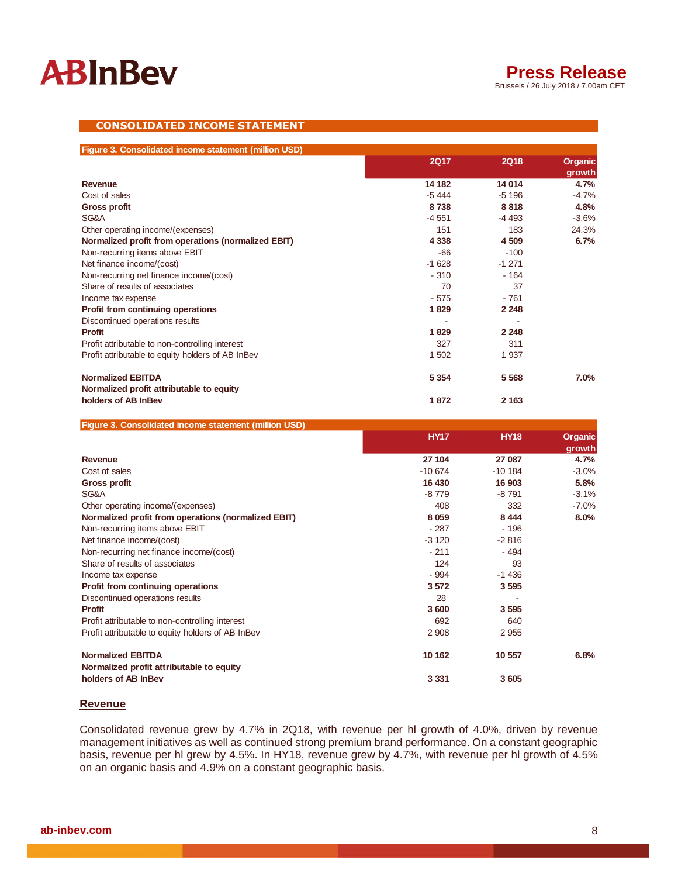#### **CONSOLIDATED INCOME STATEMENT**

| Figure 3. Consolidated income statement (million USD)           |             |             |                          |
|-----------------------------------------------------------------|-------------|-------------|--------------------------|
|                                                                 | <b>2Q17</b> | <b>2Q18</b> | <b>Organic</b><br>growth |
| Revenue                                                         | 14 182      | 14 014      | 4.7%                     |
| Cost of sales                                                   | $-5444$     | $-5196$     | $-4.7%$                  |
| <b>Gross profit</b>                                             | 8738        | 8818        | 4.8%                     |
| SG&A                                                            | $-4551$     | -4 493      | $-3.6%$                  |
| Other operating income/(expenses)                               | 151         | 183         | 24.3%                    |
| Normalized profit from operations (normalized EBIT)             | 4 3 3 8     | 4 5 0 9     | 6.7%                     |
| Non-recurring items above EBIT                                  | $-66$       | $-100$      |                          |
| Net finance income/(cost)                                       | $-1628$     | $-1271$     |                          |
| Non-recurring net finance income/(cost)                         | $-310$      | $-164$      |                          |
| Share of results of associates                                  | 70          | 37          |                          |
| Income tax expense                                              | $-575$      | $-761$      |                          |
| Profit from continuing operations                               | 1829        | 2 2 4 8     |                          |
| Discontinued operations results                                 |             |             |                          |
| <b>Profit</b>                                                   | 1829        | 2 2 4 8     |                          |
| Profit attributable to non-controlling interest                 | 327         | 311         |                          |
| Profit attributable to equity holders of AB InBev               | 1 502       | 1937        |                          |
| <b>Normalized EBITDA</b>                                        | 5 3 5 4     | 5 5 6 8     | 7.0%                     |
| Normalized profit attributable to equity<br>holders of AB InBev | 1872        | 2 1 6 3     |                          |

| <b>Figure 3. Consolidated income statement (million USD)</b> |             |             |                          |
|--------------------------------------------------------------|-------------|-------------|--------------------------|
|                                                              | <b>HY17</b> | <b>HY18</b> | <b>Organic</b><br>growth |
| Revenue                                                      | 27 104      | 27 087      | 4.7%                     |
| Cost of sales                                                | $-10674$    | $-10184$    | $-3.0%$                  |
| <b>Gross profit</b>                                          | 16 430      | 16 903      | 5.8%                     |
| SG&A                                                         | $-8779$     | -8 791      | $-3.1%$                  |
| Other operating income/(expenses)                            | 408         | 332         | $-7.0\%$                 |
| Normalized profit from operations (normalized EBIT)          | 8 0 5 9     | 8 4 4 4     | 8.0%                     |
| Non-recurring items above EBIT                               | $-287$      | $-196$      |                          |
| Net finance income/(cost)                                    | $-3120$     | $-2816$     |                          |
| Non-recurring net finance income/(cost)                      | $-211$      | $-494$      |                          |
| Share of results of associates                               | 124         | 93          |                          |
| Income tax expense                                           | $-994$      | $-1436$     |                          |
| Profit from continuing operations                            | 3572        | 3 5 9 5     |                          |
| Discontinued operations results                              | 28          |             |                          |
| Profit                                                       | 3 600       | 3 5 9 5     |                          |
| Profit attributable to non-controlling interest              | 692         | 640         |                          |
| Profit attributable to equity holders of AB InBev            | 2 9 0 8     | 2 9 5 5     |                          |
| <b>Normalized EBITDA</b>                                     | 10 162      | 10 557      | 6.8%                     |
| Normalized profit attributable to equity                     |             |             |                          |
| holders of AB InBev                                          | 3 3 3 1     | 3 6 0 5     |                          |

#### **Revenue**

Consolidated revenue grew by 4.7% in 2Q18, with revenue per hl growth of 4.0%, driven by revenue management initiatives as well as continued strong premium brand performance. On a constant geographic basis, revenue per hl grew by 4.5%. In HY18, revenue grew by 4.7%, with revenue per hl growth of 4.5% on an organic basis and 4.9% on a constant geographic basis.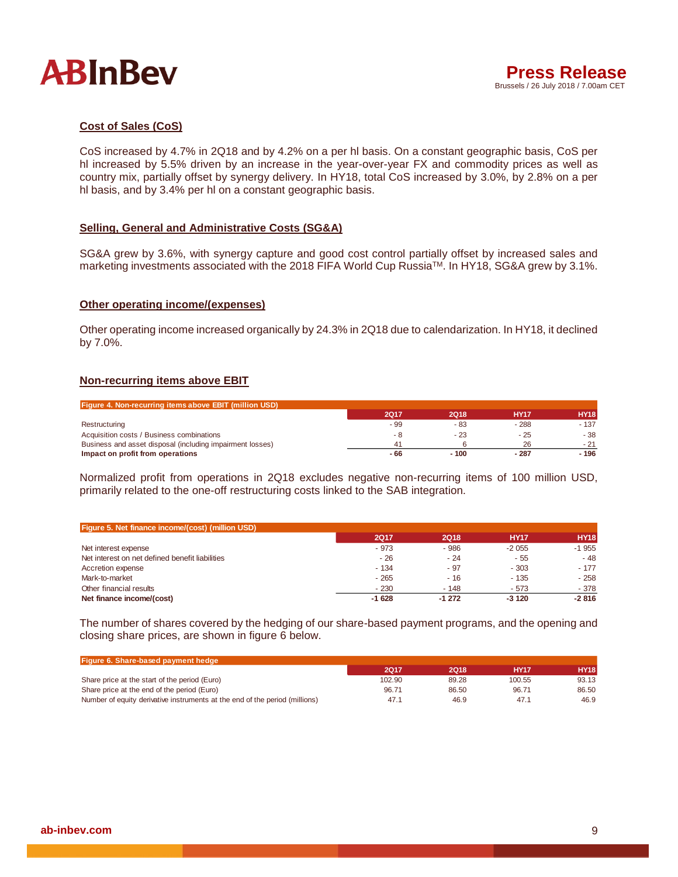

#### **Cost of Sales (CoS)**

CoS increased by 4.7% in 2Q18 and by 4.2% on a per hl basis. On a constant geographic basis, CoS per hl increased by 5.5% driven by an increase in the year-over-year FX and commodity prices as well as country mix, partially offset by synergy delivery. In HY18, total CoS increased by 3.0%, by 2.8% on a per hl basis, and by 3.4% per hl on a constant geographic basis.

#### **Selling, General and Administrative Costs (SG&A)**

SG&A grew by 3.6%, with synergy capture and good cost control partially offset by increased sales and marketing investments associated with the 2018 FIFA World Cup Russia<sup>TM</sup>. In HY18, SG&A grew by 3.1%.

#### **Other operating income/(expenses)**

Other operating income increased organically by 24.3% in 2Q18 due to calendarization. In HY18, it declined by 7.0%.

#### **Non-recurring items above EBIT**

| Figure 4. Non-recurring items above EBIT (million USD)    |      |             |             |             |
|-----------------------------------------------------------|------|-------------|-------------|-------------|
|                                                           | 2Q17 | <b>2Q18</b> | <b>HY17</b> | <b>HY18</b> |
| Restructuring                                             | - 99 | - 83        | $-288$      | - 137       |
| Acquisition costs / Business combinations                 | - 8  | - 23        | $-25$       | - 38        |
| Business and asset disposal (including impairment losses) | 41   |             | 26          | - 21        |
| Impact on profit from operations                          | - 66 | $-100$      | - 287       | - 196       |

Normalized profit from operations in 2Q18 excludes negative non-recurring items of 100 million USD, primarily related to the one-off restructuring costs linked to the SAB integration.

| Figure 5. Net finance income/(cost) (million USD) |             |             |             |             |
|---------------------------------------------------|-------------|-------------|-------------|-------------|
|                                                   | <b>2Q17</b> | <b>2Q18</b> | <b>HY17</b> | <b>HY18</b> |
| Net interest expense                              | $-973$      | $-986$      | $-2055$     | $-1955$     |
| Net interest on net defined benefit liabilities   | $-26$       | $-24$       | - 55        | $-48$       |
| Accretion expense                                 | $-134$      | - 97        | $-303$      | $-177$      |
| Mark-to-market                                    | $-265$      | $-16$       | $-135$      | $-258$      |
| Other financial results                           | $-230$      | $-148$      | $-573$      | $-378$      |
| Net finance income/(cost)                         | $-1628$     | $-1272$     | $-3120$     | $-2816$     |

The number of shares covered by the hedging of our share-based payment programs, and the opening and closing share prices, are shown in figure 6 below.

| Figure 6. Share-based payment hedge                                         |        |             |             |             |
|-----------------------------------------------------------------------------|--------|-------------|-------------|-------------|
|                                                                             | 2Q17   | <b>2Q18</b> | <b>HY17</b> | <b>HY18</b> |
| Share price at the start of the period (Euro)                               | 102.90 | 89.28       | 100.55      | 93.13       |
| Share price at the end of the period (Euro)                                 | 96.71  | 86.50       | 96.71       | 86.50       |
| Number of equity derivative instruments at the end of the period (millions) | 47.1   | 46.9        | 47.1        | 46.9        |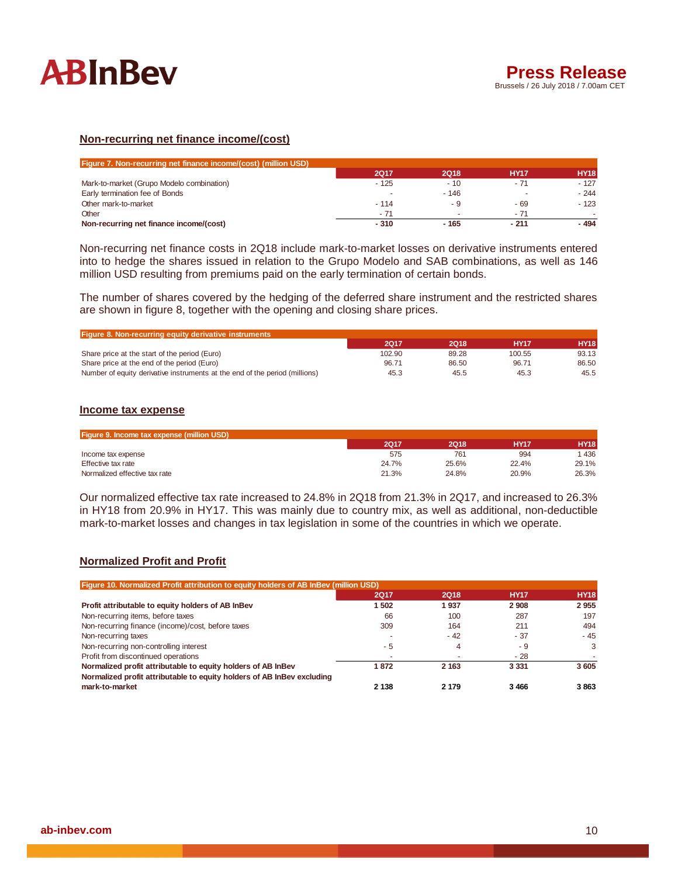

#### **Non-recurring net finance income/(cost)**

| Figure 7. Non-recurring net finance income/(cost) (million USD) |             |        |             |             |
|-----------------------------------------------------------------|-------------|--------|-------------|-------------|
|                                                                 | <b>2Q17</b> | 2Q18   | <b>HY17</b> | <b>HY18</b> |
| Mark-to-market (Grupo Modelo combination)                       | $-125$      | $-10$  |             | $-127$      |
| Early termination fee of Bonds                                  |             | $-146$ |             | $-244$      |
| Other mark-to-market                                            | $-114$      | - 9    | - 69        | $-123$      |
| Other                                                           | - 71        |        | - 71        |             |
| Non-recurring net finance income/(cost)                         | $-310$      | $-165$ | $-211$      | - 494       |

Non-recurring net finance costs in 2Q18 include mark-to-market losses on derivative instruments entered into to hedge the shares issued in relation to the Grupo Modelo and SAB combinations, as well as 146 million USD resulting from premiums paid on the early termination of certain bonds.

The number of shares covered by the hedging of the deferred share instrument and the restricted shares are shown in figure 8, together with the opening and closing share prices.

| <b>Figure 8. Non-recurring equity derivative instruments</b>                |        |       |        |             |
|-----------------------------------------------------------------------------|--------|-------|--------|-------------|
|                                                                             | 2Q17   | 2Q18  | HY17   | <b>HY18</b> |
| Share price at the start of the period (Euro)                               | 102.90 | 89.28 | 100.55 | 93.13       |
| Share price at the end of the period (Euro)                                 | 96.71  | 86.50 | 96.71  | 86.50       |
| Number of equity derivative instruments at the end of the period (millions) | 45.3   | 45.5  | 45.3   | 45.5        |

#### **Income tax expense**

| Figure 9. Income tax expense (million USD) |       |             |       |             |
|--------------------------------------------|-------|-------------|-------|-------------|
|                                            | 2Q17  | <b>2Q18</b> | HY17  | <b>HY18</b> |
| Income tax expense                         | 575   | 761         | 994   | . 436       |
| Effective tax rate                         | 24.7% | 25.6%       | 22.4% | 29.1%       |
| Normalized effective tax rate              | 21.3% | 24.8%       | 20.9% | 26.3%       |

Our normalized effective tax rate increased to 24.8% in 2Q18 from 21.3% in 2Q17, and increased to 26.3% in HY18 from 20.9% in HY17. This was mainly due to country mix, as well as additional, non-deductible mark-to-market losses and changes in tax legislation in some of the countries in which we operate.

#### **Normalized Profit and Profit**

| Figure 10. Normalized Profit attribution to equity holders of AB InBev (million USD) |             |             |             |             |
|--------------------------------------------------------------------------------------|-------------|-------------|-------------|-------------|
|                                                                                      | <b>2Q17</b> | <b>2Q18</b> | <b>HY17</b> | <b>HY18</b> |
| Profit attributable to equity holders of AB InBev                                    | 1 502       | 1937        | 2 9 0 8     | 2 9 5 5     |
| Non-recurring items, before taxes                                                    | 66          | 100         | 287         | 197         |
| Non-recurring finance (income)/cost, before taxes                                    | 309         | 164         | 211         | 494         |
| Non-recurring taxes                                                                  |             | $-42$       | $-37$       | $-45$       |
| Non-recurring non-controlling interest                                               | - 5         | 4           | - 9         | 3           |
| Profit from discontinued operations                                                  |             |             | - 28        |             |
| Normalized profit attributable to equity holders of AB InBev                         | 1872        | 2 1 6 3     | 3 3 3 1     | 3 605       |
| Normalized profit attributable to equity holders of AB InBev excluding               |             |             |             |             |
| mark-to-market                                                                       | 2 1 3 8     | 2 1 7 9     | 3466        | 3863        |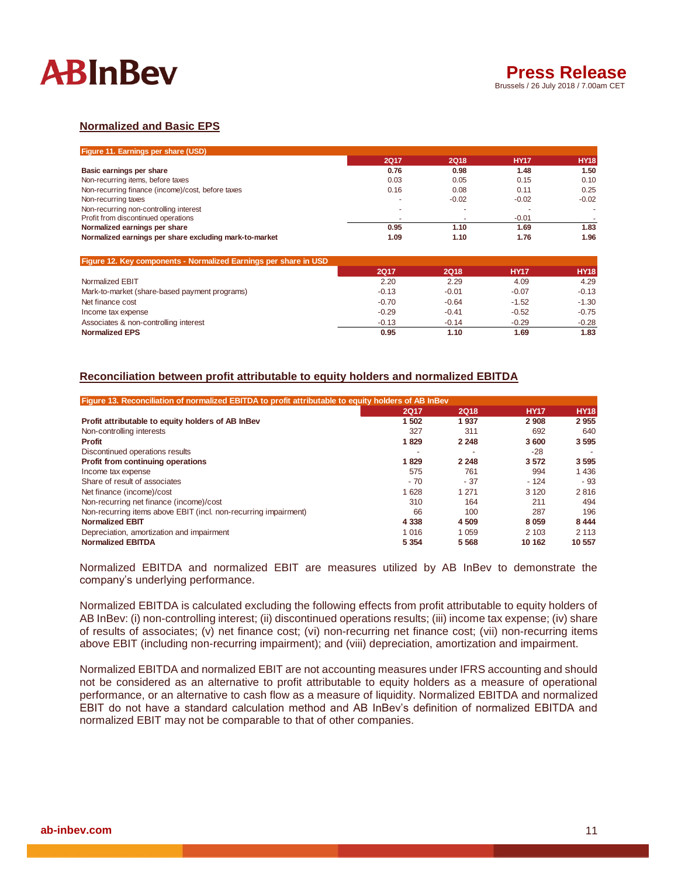### **Normalized and Basic EPS**

| Figure 11. Earnings per share (USD)                    |             |             |             |             |
|--------------------------------------------------------|-------------|-------------|-------------|-------------|
|                                                        | <b>2Q17</b> | <b>2Q18</b> | <b>HY17</b> | <b>HY18</b> |
| Basic earnings per share                               | 0.76        | 0.98        | 1.48        | 1.50        |
| Non-recurring items, before taxes                      | 0.03        | 0.05        | 0.15        | 0.10        |
| Non-recurring finance (income)/cost, before taxes      | 0.16        | 0.08        | 0.11        | 0.25        |
| Non-recurring taxes                                    |             | $-0.02$     | $-0.02$     | $-0.02$     |
| Non-recurring non-controlling interest                 |             |             |             |             |
| Profit from discontinued operations                    |             |             | $-0.01$     |             |
| Normalized earnings per share                          | 0.95        | 1.10        | 1.69        | 1.83        |
| Normalized earnings per share excluding mark-to-market | 1.09        | 1.10        | 1.76        | 1.96        |

| Figure 12. Key components - Normalized Earnings per share in USD |             |             |             |             |
|------------------------------------------------------------------|-------------|-------------|-------------|-------------|
|                                                                  | <b>2Q17</b> | <b>2Q18</b> | <b>HY17</b> | <b>HY18</b> |
| Normalized EBIT                                                  | 2.20        | 2.29        | 4.09        | 4.29        |
| Mark-to-market (share-based payment programs)                    | $-0.13$     | $-0.01$     | $-0.07$     | $-0.13$     |
| Net finance cost                                                 | $-0.70$     | $-0.64$     | $-1.52$     | $-1.30$     |
| Income tax expense                                               | $-0.29$     | $-0.41$     | $-0.52$     | $-0.75$     |
| Associates & non-controlling interest                            | $-0.13$     | $-0.14$     | $-0.29$     | $-0.28$     |
| <b>Normalized EPS</b>                                            | 0.95        | 1.10        | 1.69        | 1.83        |

#### **Reconciliation between profit attributable to equity holders and normalized EBITDA**

| Figure 13. Reconciliation of normalized EBITDA to profit attributable to equity holders of AB InBev |             |             |             |             |  |  |  |  |  |
|-----------------------------------------------------------------------------------------------------|-------------|-------------|-------------|-------------|--|--|--|--|--|
|                                                                                                     | <b>2Q17</b> | <b>2Q18</b> | <b>HY17</b> | <b>HY18</b> |  |  |  |  |  |
| Profit attributable to equity holders of AB InBev                                                   | 1502        | 1937        | 2908        | 2 9 5 5     |  |  |  |  |  |
| Non-controlling interests                                                                           | 327         | 311         | 692         | 640         |  |  |  |  |  |
| <b>Profit</b>                                                                                       | 1829        | 2 2 4 8     | 3600        | 3 5 9 5     |  |  |  |  |  |
| Discontinued operations results                                                                     |             |             | $-28$       |             |  |  |  |  |  |
| Profit from continuing operations                                                                   | 1829        | 2 2 4 8     | 3572        | 3 5 9 5     |  |  |  |  |  |
| Income tax expense                                                                                  | 575         | 761         | 994         | 1 4 3 6     |  |  |  |  |  |
| Share of result of associates                                                                       | $-70$       | $-37$       | $-124$      | - 93        |  |  |  |  |  |
| Net finance (income)/cost                                                                           | 1628        | 1 2 7 1     | 3 1 2 0     | 2816        |  |  |  |  |  |
| Non-recurring net finance (income)/cost                                                             | 310         | 164         | 211         | 494         |  |  |  |  |  |
| Non-recurring items above EBIT (incl. non-recurring impairment)                                     | 66          | 100         | 287         | 196         |  |  |  |  |  |
| <b>Normalized EBIT</b>                                                                              | 4 3 3 8     | 4 5 0 9     | 8 0 5 9     | 8 4 4 4     |  |  |  |  |  |
| Depreciation, amortization and impairment                                                           | 1016        | 1 0 5 9     | 2 1 0 3     | 2 1 1 3     |  |  |  |  |  |
| <b>Normalized EBITDA</b>                                                                            | 5 3 5 4     | 5 5 6 8     | 10 162      | 10 557      |  |  |  |  |  |

Normalized EBITDA and normalized EBIT are measures utilized by AB InBev to demonstrate the company's underlying performance.

Normalized EBITDA is calculated excluding the following effects from profit attributable to equity holders of AB InBev: (i) non-controlling interest; (ii) discontinued operations results; (iii) income tax expense; (iv) share of results of associates; (v) net finance cost; (vi) non-recurring net finance cost; (vii) non-recurring items above EBIT (including non-recurring impairment); and (viii) depreciation, amortization and impairment.

Normalized EBITDA and normalized EBIT are not accounting measures under IFRS accounting and should not be considered as an alternative to profit attributable to equity holders as a measure of operational performance, or an alternative to cash flow as a measure of liquidity. Normalized EBITDA and normalized EBIT do not have a standard calculation method and AB InBev's definition of normalized EBITDA and normalized EBIT may not be comparable to that of other companies.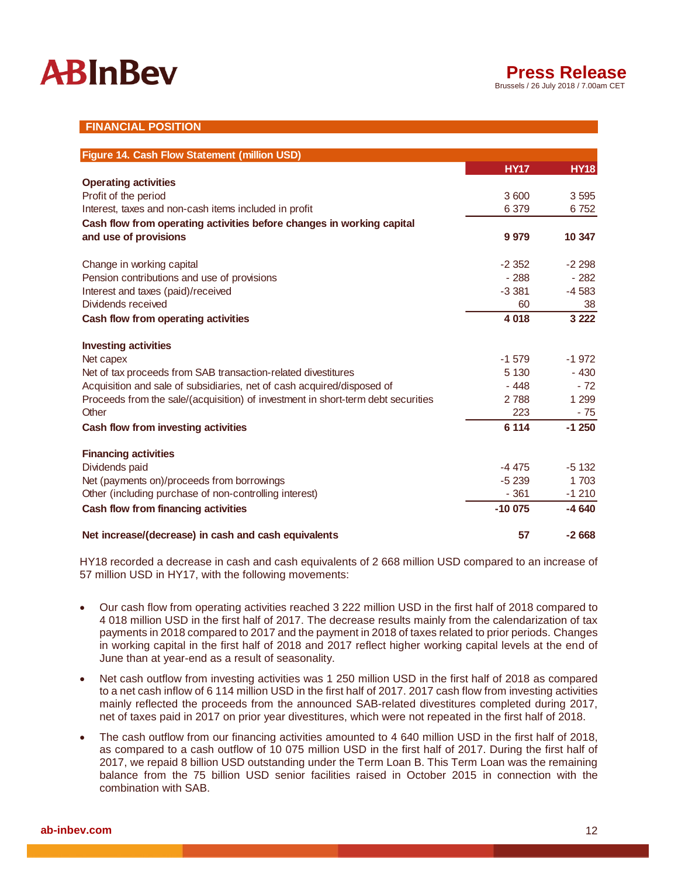#### **FINANCIAL POSITION**

| <b>Figure 14. Cash Flow Statement (million USD)</b>                              |             |             |
|----------------------------------------------------------------------------------|-------------|-------------|
|                                                                                  | <b>HY17</b> | <b>HY18</b> |
| <b>Operating activities</b>                                                      |             |             |
| Profit of the period                                                             | 3600        | 3595        |
| Interest, taxes and non-cash items included in profit                            | 6 3 7 9     | 6752        |
| Cash flow from operating activities before changes in working capital            |             |             |
| and use of provisions                                                            | 9 9 7 9     | 10 347      |
| Change in working capital                                                        | $-2352$     | $-2298$     |
| Pension contributions and use of provisions                                      | $-288$      | $-282$      |
| Interest and taxes (paid)/received                                               | $-3.381$    | $-4583$     |
| Dividends received                                                               | 60          | 38          |
| Cash flow from operating activities                                              | 4 0 18      | 3 2 2 2     |
| <b>Investing activities</b>                                                      |             |             |
| Net capex                                                                        | $-1.579$    | $-1972$     |
| Net of tax proceeds from SAB transaction-related divestitures                    | 5 1 3 0     | $-430$      |
| Acquisition and sale of subsidiaries, net of cash acquired/disposed of           | $-448$      | $-72$       |
| Proceeds from the sale/(acquisition) of investment in short-term debt securities | 2 7 8 8     | 1 2 9 9     |
| Other                                                                            | 223         | - 75        |
| Cash flow from investing activities                                              | 6 1 1 4     | $-1250$     |
| <b>Financing activities</b>                                                      |             |             |
| Dividends paid                                                                   | $-4475$     | $-5132$     |
| Net (payments on)/proceeds from borrowings                                       | $-5239$     | 1 703       |
| Other (including purchase of non-controlling interest)                           | $-361$      | $-1210$     |
| Cash flow from financing activities                                              | $-10075$    | $-4640$     |
| Net increase/(decrease) in cash and cash equivalents                             | 57          | $-2668$     |

HY18 recorded a decrease in cash and cash equivalents of 2 668 million USD compared to an increase of 57 million USD in HY17, with the following movements:

- Our cash flow from operating activities reached 3 222 million USD in the first half of 2018 compared to 4 018 million USD in the first half of 2017. The decrease results mainly from the calendarization of tax payments in 2018 compared to 2017 and the payment in 2018 of taxes related to prior periods. Changes in working capital in the first half of 2018 and 2017 reflect higher working capital levels at the end of June than at year-end as a result of seasonality.
- Net cash outflow from investing activities was 1 250 million USD in the first half of 2018 as compared to a net cash inflow of 6 114 million USD in the first half of 2017. 2017 cash flow from investing activities mainly reflected the proceeds from the announced SAB-related divestitures completed during 2017, net of taxes paid in 2017 on prior year divestitures, which were not repeated in the first half of 2018.
- The cash outflow from our financing activities amounted to 4 640 million USD in the first half of 2018, as compared to a cash outflow of 10 075 million USD in the first half of 2017. During the first half of 2017, we repaid 8 billion USD outstanding under the Term Loan B. This Term Loan was the remaining balance from the 75 billion USD senior facilities raised in October 2015 in connection with the combination with SAB.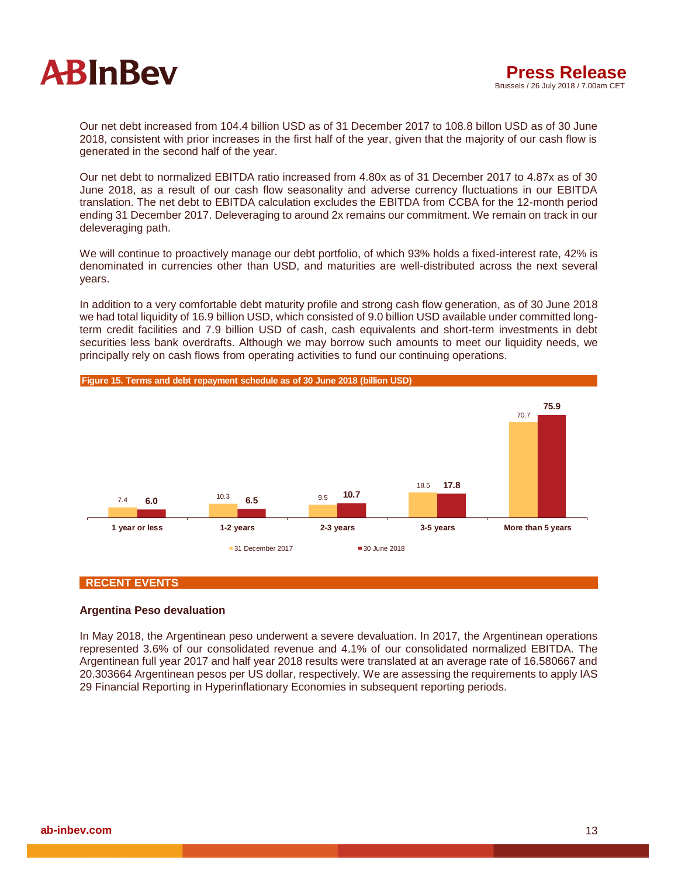

Our net debt increased from 104.4 billion USD as of 31 December 2017 to 108.8 billon USD as of 30 June 2018, consistent with prior increases in the first half of the year, given that the majority of our cash flow is generated in the second half of the year.

Our net debt to normalized EBITDA ratio increased from 4.80x as of 31 December 2017 to 4.87x as of 30 June 2018, as a result of our cash flow seasonality and adverse currency fluctuations in our EBITDA translation. The net debt to EBITDA calculation excludes the EBITDA from CCBA for the 12-month period ending 31 December 2017. Deleveraging to around 2x remains our commitment. We remain on track in our deleveraging path.

We will continue to proactively manage our debt portfolio, of which 93% holds a fixed-interest rate, 42% is denominated in currencies other than USD, and maturities are well-distributed across the next several years.

In addition to a very comfortable debt maturity profile and strong cash flow generation, as of 30 June 2018 we had total liquidity of 16.9 billion USD, which consisted of 9.0 billion USD available under committed longterm credit facilities and 7.9 billion USD of cash, cash equivalents and short-term investments in debt securities less bank overdrafts. Although we may borrow such amounts to meet our liquidity needs, we principally rely on cash flows from operating activities to fund our continuing operations.



#### **Figure 15. Terms and debt repayment schedule as of 30 June 2018 (billion USD)**

#### **RECENT EVENTS**

#### **Argentina Peso devaluation**

In May 2018, the Argentinean peso underwent a severe devaluation. In 2017, the Argentinean operations represented 3.6% of our consolidated revenue and 4.1% of our consolidated normalized EBITDA. The Argentinean full year 2017 and half year 2018 results were translated at an average rate of 16.580667 and 20.303664 Argentinean pesos per US dollar, respectively. We are assessing the requirements to apply IAS 29 Financial Reporting in Hyperinflationary Economies in subsequent reporting periods.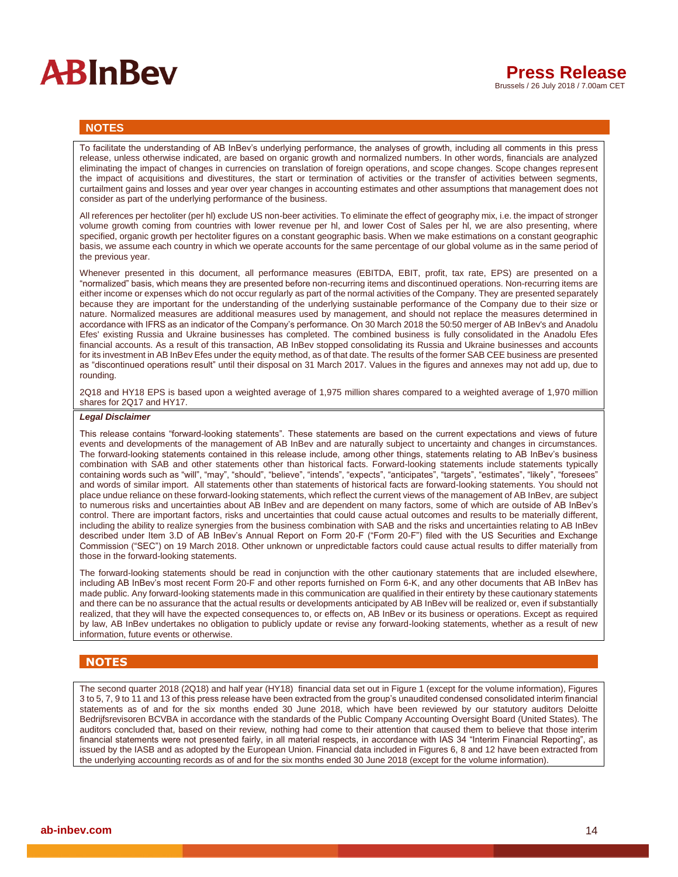#### **NOTES**

To facilitate the understanding of AB InBev's underlying performance, the analyses of growth, including all comments in this press release, unless otherwise indicated, are based on organic growth and normalized numbers. In other words, financials are analyzed eliminating the impact of changes in currencies on translation of foreign operations, and scope changes. Scope changes represent the impact of acquisitions and divestitures, the start or termination of activities or the transfer of activities between segments, curtailment gains and losses and year over year changes in accounting estimates and other assumptions that management does not consider as part of the underlying performance of the business.

All references per hectoliter (per hl) exclude US non-beer activities. To eliminate the effect of geography mix, i.e. the impact of stronger volume growth coming from countries with lower revenue per hl, and lower Cost of Sales per hl, we are also presenting, where specified, organic growth per hectoliter figures on a constant geographic basis. When we make estimations on a constant geographic basis, we assume each country in which we operate accounts for the same percentage of our global volume as in the same period of the previous year.

Whenever presented in this document, all performance measures (EBITDA, EBIT, profit, tax rate, EPS) are presented on a "normalized" basis, which means they are presented before non-recurring items and discontinued operations. Non-recurring items are either income or expenses which do not occur regularly as part of the normal activities of the Company. They are presented separately because they are important for the understanding of the underlying sustainable performance of the Company due to their size or nature. Normalized measures are additional measures used by management, and should not replace the measures determined in accordance with IFRS as an indicator of the Company's performance. On 30 March 2018 the 50:50 merger of AB InBev's and Anadolu Efes' existing Russia and Ukraine businesses has completed. The combined business is fully consolidated in the Anadolu Efes financial accounts. As a result of this transaction, AB InBev stopped consolidating its Russia and Ukraine businesses and accounts for its investment in AB InBev Efes under the equity method, as of that date. The results of the former SAB CEE business are presented as "discontinued operations result" until their disposal on 31 March 2017. Values in the figures and annexes may not add up, due to rounding.

2Q18 and HY18 EPS is based upon a weighted average of 1,975 million shares compared to a weighted average of 1,970 million shares for 2Q17 and HY17.

#### *Legal Disclaimer*

This release contains "forward-looking statements". These statements are based on the current expectations and views of future events and developments of the management of AB InBev and are naturally subject to uncertainty and changes in circumstances. The forward-looking statements contained in this release include, among other things, statements relating to AB InBev's business combination with SAB and other statements other than historical facts. Forward-looking statements include statements typically containing words such as "will", "may", "should", "believe", "intends", "expects", "anticipates", "targets", "estimates", "likely", "foresees" and words of similar import. All statements other than statements of historical facts are forward-looking statements. You should not place undue reliance on these forward-looking statements, which reflect the current views of the management of AB InBev, are subject to numerous risks and uncertainties about AB InBev and are dependent on many factors, some of which are outside of AB InBev's control. There are important factors, risks and uncertainties that could cause actual outcomes and results to be materially different, including the ability to realize synergies from the business combination with SAB and the risks and uncertainties relating to AB InBev described under Item 3.D of AB InBev's Annual Report on Form 20-F ("Form 20-F") filed with the US Securities and Exchange Commission ("SEC") on 19 March 2018. Other unknown or unpredictable factors could cause actual results to differ materially from those in the forward-looking statements.

The forward-looking statements should be read in conjunction with the other cautionary statements that are included elsewhere, including AB InBev's most recent Form 20-F and other reports furnished on Form 6-K, and any other documents that AB InBev has made public. Any forward-looking statements made in this communication are qualified in their entirety by these cautionary statements and there can be no assurance that the actual results or developments anticipated by AB InBev will be realized or, even if substantially realized, that they will have the expected consequences to, or effects on, AB InBev or its business or operations. Except as required by law, AB InBev undertakes no obligation to publicly update or revise any forward-looking statements, whether as a result of new information, future events or otherwise.

#### **NOTES**

The second quarter 2018 (2Q18) and half year (HY18) financial data set out in Figure 1 (except for the volume information), Figures 3 to 5, 7, 9 to 11 and 13 of this press release have been extracted from the group's unaudited condensed consolidated interim financial statements as of and for the six months ended 30 June 2018, which have been reviewed by our statutory auditors Deloitte Bedrijfsrevisoren BCVBA in accordance with the standards of the Public Company Accounting Oversight Board (United States). The auditors concluded that, based on their review, nothing had come to their attention that caused them to believe that those interim financial statements were not presented fairly, in all material respects, in accordance with IAS 34 "Interim Financial Reporting", as issued by the IASB and as adopted by the European Union. Financial data included in Figures 6, 8 and 12 have been extracted from the underlying accounting records as of and for the six months ended 30 June 2018 (except for the volume information).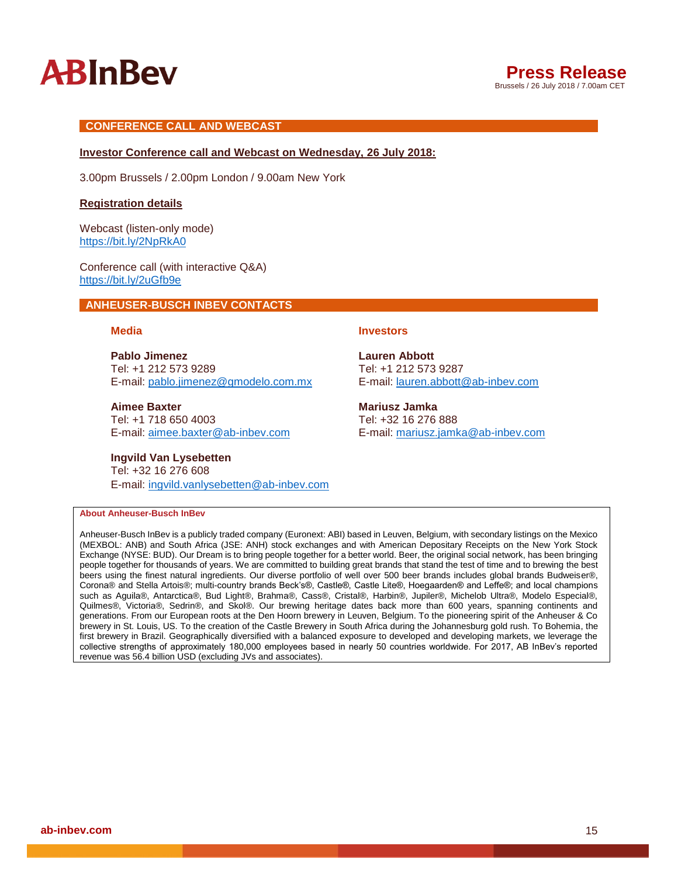

#### **CONFERENCE CALL AND WEBCAST**

#### **Investor Conference call and Webcast on Wednesday, 26 July 2018:**

3.00pm Brussels / 2.00pm London / 9.00am New York

#### **Registration details**

Webcast (listen-only mode) <https://bit.ly/2NpRkA0>

Conference call (with interactive Q&A) <https://bit.ly/2uGfb9e>

#### **ANHEUSER-BUSCH INBEV CONTACTS**

**Pablo Jimenez** Tel: +1 212 573 9289 E-mail: pablo.jimenez@gmodelo.com.mx

**Aimee Baxter** Tel: +1 718 650 4003 E-mail: [aimee.baxter@ab-inbev.com](mailto:aimee.baxter@ab-inbev.com)

**Ingvild Van Lysebetten** Tel: +32 16 276 608 E-mail: i[ngvild.vanlysebetten@ab-inbev.com](mailto:ingvild.vanlysebetten@ab-inbev.com)

#### **Media Investors**

**Lauren Abbott** Tel: +1 212 573 9287 E-mail: [lauren.abbott@ab-inbev.com](mailto:lauren.abbott@ab-inbev.com)

**Mariusz Jamka** Tel: +32 16 276 888 E-mail: [mariusz.jamka@ab-inbev.com](mailto:mariusz.jamka@ab-inbev.com)

#### **About Anheuser-Busch InBev**

Anheuser-Busch InBev is a publicly traded company (Euronext: ABI) based in Leuven, Belgium, with secondary listings on the Mexico (MEXBOL: ANB) and South Africa (JSE: ANH) stock exchanges and with American Depositary Receipts on the New York Stock Exchange (NYSE: BUD). Our Dream is to bring people together for a better world. Beer, the original social network, has been bringing people together for thousands of years. We are committed to building great brands that stand the test of time and to brewing the best beers using the finest natural ingredients. Our diverse portfolio of well over 500 beer brands includes global brands Budweiser®, Corona® and Stella Artois®; multi-country brands Beck's®, Castle®, Castle Lite®, Hoegaarden® and Leffe®; and local champions such as Aguila®, Antarctica®, Bud Light®, Brahma®, Cass®, Cristal®, Harbin®, Jupiler®, Michelob Ultra®, Modelo Especial®, Quilmes®, Victoria®, Sedrin®, and Skol®. Our brewing heritage dates back more than 600 years, spanning continents and generations. From our European roots at the Den Hoorn brewery in Leuven, Belgium. To the pioneering spirit of the Anheuser & Co brewery in St. Louis, US. To the creation of the Castle Brewery in South Africa during the Johannesburg gold rush. To Bohemia, the first brewery in Brazil. Geographically diversified with a balanced exposure to developed and developing markets, we leverage the collective strengths of approximately 180,000 employees based in nearly 50 countries worldwide. For 2017, AB InBev's reported revenue was 56.4 billion USD (excluding JVs and associates).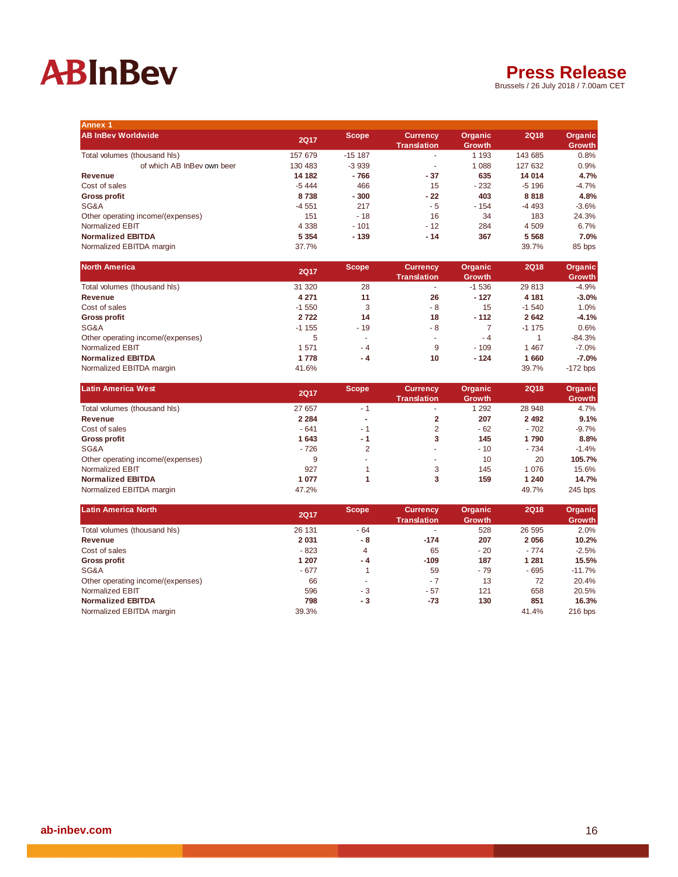| Annex <sub>1</sub>                |             |           |                                       |                   |             |                                 |
|-----------------------------------|-------------|-----------|---------------------------------------|-------------------|-------------|---------------------------------|
| <b>AB InBey Worldwide</b>         | <b>2Q17</b> | Scope,    | <b>Currency</b><br><b>Translation</b> | Organic<br>Growth | <b>2Q18</b> | <b>Organic</b><br><b>Growth</b> |
| Total volumes (thousand his)      | 157 679     | $-15.187$ | ۰                                     | 1 1 9 3           | 143 685     | 0.8%                            |
| of which AB InBey own beer        | 130 483     | $-3939$   |                                       | 1 0 8 8           | 127 632     | 0.9%                            |
| Revenue                           | 14 182      | - 766     | - 37                                  | 635               | 14 014      | 4.7%                            |
| Cost of sales                     | $-5444$     | 466       | 15                                    | $-232$            | $-5196$     | $-4.7%$                         |
| <b>Gross profit</b>               | 8738        | $-300$    | - 22                                  | 403               | 8818        | 4.8%                            |
| SG&A                              | $-4551$     | 217       | - 5                                   | $-154$            | $-4493$     | $-3.6%$                         |
| Other operating income/(expenses) | 151         | $-18$     | 16                                    | 34                | 183         | 24.3%                           |
| Normalized EBIT                   | 4 3 3 8     | $-101$    | $-12$                                 | 284               | 4 5 0 9     | 6.7%                            |
| <b>Normalized EBITDA</b>          | 5 3 5 4     | $-139$    | $-14$                                 | 367               | 5 5 6 8     | 7.0%                            |
| Normalized EBITDA margin          | 37.7%       |           |                                       |                   | 39.7%       | 85 bps                          |

| North America                     | <b>2Q17</b> | <b>Scope</b>             | <b>Currency</b>    | Organic       | <b>2Q18</b> | <b>Organic</b> |
|-----------------------------------|-------------|--------------------------|--------------------|---------------|-------------|----------------|
|                                   |             |                          | <b>Translation</b> | <b>Growth</b> |             | <b>Growth</b>  |
| Total volumes (thousand his)      | 31 320      | 28                       | ۰                  | $-1536$       | 29 813      | $-4.9%$        |
| Revenue                           | 4 2 7 1     | 11                       | 26                 | $-127$        | 4 1 8 1     | $-3.0%$        |
| Cost of sales                     | $-1550$     | 3                        | - 8                | 15            | $-1,540$    | 1.0%           |
| <b>Gross profit</b>               | 2722        | 14                       | 18                 | $-112$        | 2642        | $-4.1%$        |
| SG&A                              | $-1155$     | $-19$                    | - 8                |               | $-1175$     | 0.6%           |
| Other operating income/(expenses) | 5           | $\overline{\phantom{a}}$ | ۰                  | $-4$          |             | $-84.3%$       |
| Normalized EBIT                   | 571         | $-4$                     | 9                  | $-109$        | 1 4 6 7     | $-7.0\%$       |
| <b>Normalized EBITDA</b>          | 1 7 7 8     | - 4                      | 10                 | $-124$        | 1660        | $-7.0%$        |
| Normalized EBITDA margin          | 41.6%       |                          |                    |               | 39.7%       | $-172$ bps     |

| lLatin America West               | <b>2Q17</b> | <b>Scope</b> | <b>Currency</b><br><b>Translation</b> | <b>Organic</b><br><b>Growth</b> | <b>2Q18</b> | <b>Organic</b><br><b>Growth</b> |
|-----------------------------------|-------------|--------------|---------------------------------------|---------------------------------|-------------|---------------------------------|
| Total volumes (thousand hls)      | 27 657      | - 1          | $\overline{\phantom{a}}$              | 1 2 9 2                         | 28 948      | 4.7%                            |
| Revenue                           | 2 2 8 4     | ۰            | 2                                     | 207                             | 2 4 9 2     | 9.1%                            |
| Cost of sales                     | $-641$      | - 1          |                                       | $-62$                           | $-702$      | $-9.7\%$                        |
| <b>Gross profit</b>               | 1 643       | - 1          | з                                     | 145                             | 1790        | 8.8%                            |
| SG&A                              | $-726$      | 2            | ۰                                     | $-10$                           | $-734$      | $-1.4%$                         |
| Other operating income/(expenses) | 9           |              | ۰                                     | 10                              | 20          | 105.7%                          |
| Normalized EBIT                   | 927         |              | 3                                     | 145                             | 1076        | 15.6%                           |
| <b>Normalized EBITDA</b>          | 1077        |              | 3                                     | 159                             | 1 2 4 0     | 14.7%                           |
| Normalized EBITDA margin          | 47.2%       |              |                                       |                                 | 49.7%       | 245 bps                         |

| Latin America North               | <b>2Q17</b> | <b>Scope</b> | <b>Currency</b>    | Organic       | <b>2Q18</b> | <b>Organic</b> |
|-----------------------------------|-------------|--------------|--------------------|---------------|-------------|----------------|
|                                   |             |              | <b>Translation</b> | <b>Growth</b> |             | <b>Growth</b>  |
| Total volumes (thousand his)      | 26 131      | $-64$        | -                  | 528           | 26 595      | 2.0%           |
| Revenue                           | 2 0 3 1     | - 8          | $-174$             | 207           | 2056        | 10.2%          |
| Cost of sales                     | $-823$      | 4            | 65                 | $-20$         | $-774$      | $-2.5%$        |
| <b>Gross profit</b>               | 1 207       | - 4          | $-109$             | 187           | 1 2 8 1     | 15.5%          |
| SG&A                              | $-677$      |              | 59                 | $-79$         | $-695$      | $-11.7%$       |
| Other operating income/(expenses) | 66          | ۰            | $-7$               | 13            | 72          | 20.4%          |
| Normalized EBIT                   | 596         | - 3          | $-57$              | 121           | 658         | 20.5%          |
| <b>Normalized EBITDA</b>          | 798         | - 3          | -73                | 130           | 851         | 16.3%          |
| Normalized EBITDA margin          | 39.3%       |              |                    |               | 41.4%       | $216$ bps      |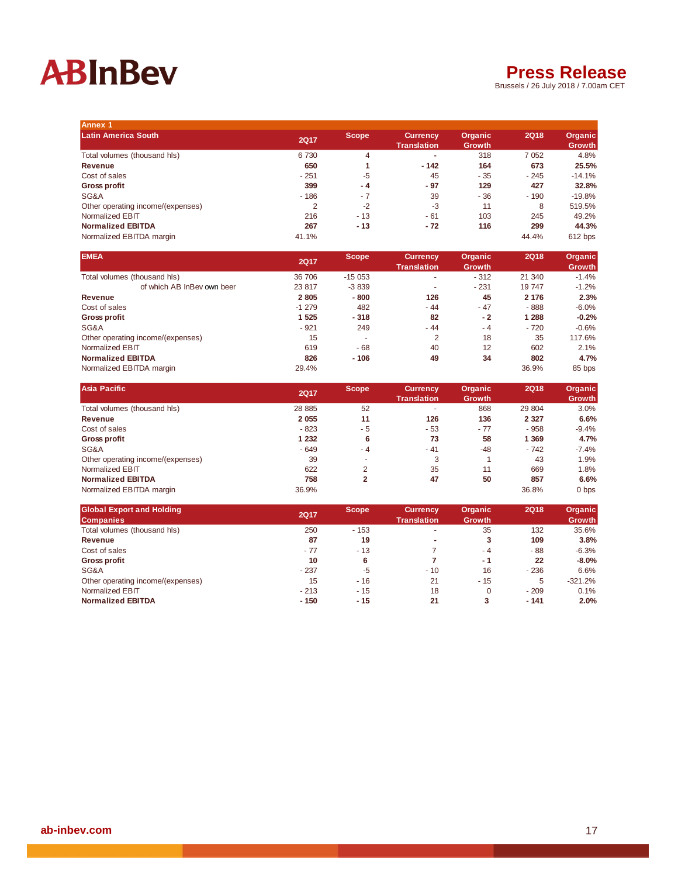| Annex 1                                 |              |                                       |                   |             |                          |
|-----------------------------------------|--------------|---------------------------------------|-------------------|-------------|--------------------------|
| Latin America South<br><b>2Q17</b>      | <b>Scope</b> | <b>Currency</b><br><b>Translation</b> | Organic<br>Growth | <b>2Q18</b> | Organic<br><b>Growth</b> |
| Total volumes (thousand his)<br>6 7 3 0 | 4            |                                       | 318               | 7 0 5 2     | 4.8%                     |
| Revenue                                 | 650          | $-142$                                | 164               | 673         | 25.5%                    |
| Cost of sales<br>$-251$                 | -5           | 45                                    | $-35$             | $-245$      | $-14.1%$                 |
| <b>Gross profit</b>                     | 399<br>- 4   | $-97$                                 | 129               | 427         | 32.8%                    |
| SG&A<br>$-186$                          | $-7$         | 39                                    | $-36$             | $-190$      | $-19.8%$                 |
| Other operating income/(expenses)       | $-2$         | $-3$                                  | 11                | 8           | 519.5%                   |
| Normalized EBIT                         | 216<br>$-13$ | $-61$                                 | 103               | 245         | 49.2%                    |
| <b>Normalized EBITDA</b>                | 267<br>- 13  | - 72                                  | 116               | 299         | 44.3%                    |
| Normalized EBITDA margin<br>41.1%       |              |                                       |                   | 44.4%       | 612 bps                  |

| <b>EMEA</b>                       | <b>2Q17</b> | <b>Scope</b> | <b>Currency</b>          | <b>Organic</b> | <b>2Q18</b> | <b>Organic</b> |
|-----------------------------------|-------------|--------------|--------------------------|----------------|-------------|----------------|
|                                   |             |              | <b>Translation</b>       | Growth         |             | <b>Growth</b>  |
| Total volumes (thousand his)      | 36 706      | $-15053$     | $\overline{\phantom{a}}$ | $-312$         | 21 340      | $-1.4%$        |
| of which AB InBey own beer        | 23 817      | $-3839$      | -                        | $-231$         | 19 747      | $-1.2%$        |
| Revenue                           | 2 8 0 5     | $-800$       | 126                      | 45             | 2 1 7 6     | 2.3%           |
| Cost of sales                     | $-1279$     | 482          | $-44$                    | $-47$          | $-888$      | $-6.0%$        |
| <b>Gross profit</b>               | 1 5 2 5     | $-318$       | 82                       | - 2            | 1 2 8 8     | $-0.2%$        |
| SG&A                              | $-921$      | 249          | $-44$                    | $-4$           | $-720$      | $-0.6%$        |
| Other operating income/(expenses) | 15          | ۰            |                          | 18             | 35          | 117.6%         |
| Normalized EBIT                   | 619         | - 68         | 40                       | 12             | 602         | 2.1%           |
| <b>Normalized EBITDA</b>          | 826         | $-106$       | 49                       | 34             | 802         | 4.7%           |
| Normalized EBITDA margin          | 29.4%       |              |                          |                | 36.9%       | 85 bps         |

| Asia Pacific                      | <b>2Q17</b> | <b>Scope</b> | <b>Currency</b><br><b>Translation</b> | <b>Organic</b><br>Growth | <b>2Q18</b> | <b>Organic</b><br><b>Growth</b> |
|-----------------------------------|-------------|--------------|---------------------------------------|--------------------------|-------------|---------------------------------|
| Total volumes (thousand his)      | 28 8 85     | 52           | -                                     | 868                      | 29 804      | 3.0%                            |
| Revenue                           | 2055        | 11           | 126                                   | 136                      | 2 3 2 7     | 6.6%                            |
| Cost of sales                     | $-823$      | - 5          | - 53                                  | $-77$                    | $-958$      | $-9.4%$                         |
| <b>Gross profit</b>               | 1 2 3 2     | 6            | 73                                    | 58                       | 1 3 6 9     | 4.7%                            |
| SG&A                              | $-649$      | $-4$         | $-41$                                 | $-48$                    | $-742$      | $-7.4%$                         |
| Other operating income/(expenses) | 39          |              | 3                                     |                          | 43          | 1.9%                            |
| Normalized EBIT                   | 622         | 2            | 35                                    | 11                       | 669         | 1.8%                            |
| <b>Normalized EBITDA</b>          | 758         | 2            | 47                                    | 50                       | 857         | 6.6%                            |
| Normalized EBITDA margin          | 36.9%       |              |                                       |                          | 36.8%       | 0 bps                           |

| <b>Global Export and Holding</b>  | <b>2Q17</b> | <b>Scope</b> | <b>Currency</b>    | <b>Organic</b> | <b>2Q18</b> | <b>Organic</b> |
|-----------------------------------|-------------|--------------|--------------------|----------------|-------------|----------------|
| <b>Companies</b>                  |             |              | <b>Translation</b> | Growth         |             | <b>Growth</b>  |
| Total volumes (thousand his)      | 250         | $-153$       | ۰                  | 35             | 132         | 35.6%          |
| Revenue                           | 87          | 19           | ۰                  | 3              | 109         | 3.8%           |
| Cost of sales                     | $-77$       | $-13$        |                    | $-4$           | $-88$       | $-6.3%$        |
| <b>Gross profit</b>               | 10          | 6            |                    | - 1            | 22          | $-8.0%$        |
| SG&A                              | $-237$      | -5           | $-10$              | 16             | $-236$      | 6.6%           |
| Other operating income/(expenses) | 15          | $-16$        | 21                 | $-15$          | 5           | $-321.2%$      |
| Normalized EBIT                   | $-213$      | $-15$        | 18                 | 0              | $-209$      | 0.1%           |
| <b>Normalized EBITDA</b>          | $-150$      | $-15$        | 21                 | 3              | $-141$      | 2.0%           |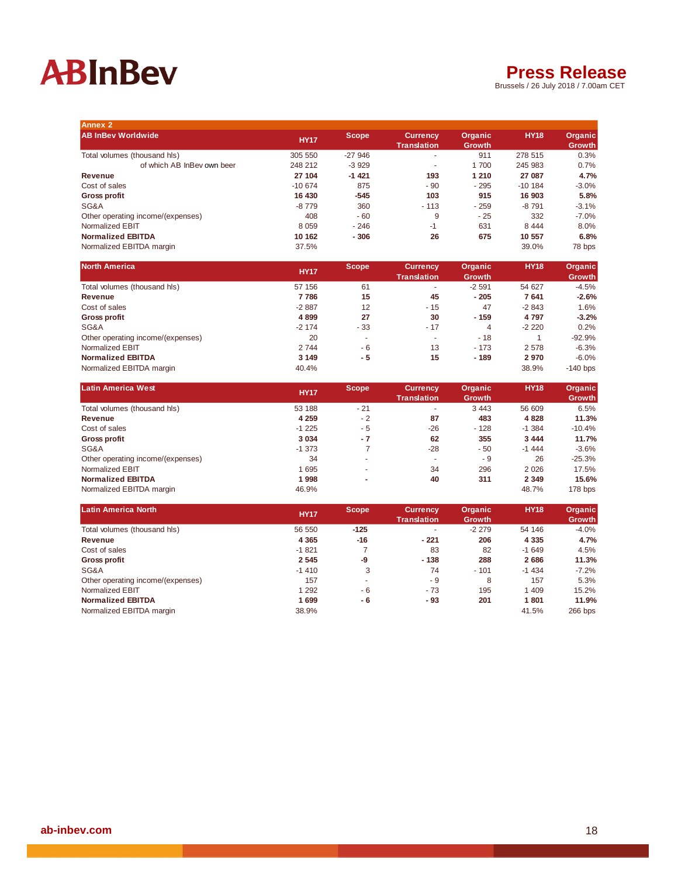| Annex <sub>2</sub>                |             |          |                                       |                   |             |                                 |
|-----------------------------------|-------------|----------|---------------------------------------|-------------------|-------------|---------------------------------|
| <b>AB InBev Worldwide</b>         | <b>HY17</b> | Scope    | <b>Currency</b><br><b>Translation</b> | Organic<br>Growth | <b>HY18</b> | <b>Organic</b><br><b>Growth</b> |
| Total volumes (thousand his)      | 305 550     | $-27946$ | $\overline{\phantom{a}}$              | 911               | 278 515     | 0.3%                            |
| of which AB InBey own beer        | 248 212     | $-3929$  | ۰                                     | 1 700             | 245 983     | 0.7%                            |
| <b>Revenue</b>                    | 27 104      | $-1421$  | 193                                   | 1 2 1 0           | 27 087      | 4.7%                            |
| Cost of sales                     | $-10674$    | 875      | - 90                                  | $-295$            | $-10.184$   | $-3.0%$                         |
| <b>Gross profit</b>               | 16 430      | $-545$   | 103                                   | 915               | 16 903      | 5.8%                            |
| SG&A                              | $-8779$     | 360      | $-113$                                | $-259$            | $-8791$     | $-3.1%$                         |
| Other operating income/(expenses) | 408         | $-60$    | 9                                     | $-25$             | 332         | $-7.0%$                         |
| Normalized EBIT                   | 8 0 5 9     | $-246$   | $-1$                                  | 631               | 8 4 4 4     | 8.0%                            |
| <b>Normalized EBITDA</b>          | 10 162      | $-306$   | 26                                    | 675               | 10 557      | 6.8%                            |
| Normalized EBITDA margin          | 37.5%       |          |                                       |                   | 39.0%       | 78 bps                          |

| North America                     | <b>HY17</b> | <b>Scope</b> | Currency,                | <b>Organic</b> | <b>HY18</b> | <b>Organic</b> |
|-----------------------------------|-------------|--------------|--------------------------|----------------|-------------|----------------|
|                                   |             |              | <b>Translation</b>       | Growth         |             | <b>Growth</b>  |
| Total volumes (thousand hls)      | 57 156      | 61           | $\overline{\phantom{a}}$ | $-2.591$       | 54 627      | $-4.5%$        |
| Revenue                           | 7786        | 15           | 45                       | $-205$         | 7641        | $-2.6%$        |
| Cost of sales                     | $-2887$     | 12           | $-15$                    | 47             | $-2843$     | 1.6%           |
| <b>Gross profit</b>               | 4899        | 27           | 30                       | $-159$         | 4 7 9 7     | $-3.2%$        |
| SG&A                              | $-2.174$    | - 33         | $-17$                    | 4              | $-2220$     | 0.2%           |
| Other operating income/(expenses) | 20          | ۰            | $\overline{\phantom{a}}$ | $-18$          |             | $-92.9%$       |
| Normalized EBIT                   | 2 744       | - 6          | 13                       | $-173$         | 2 5 7 8     | $-6.3%$        |
| <b>Normalized EBITDA</b>          | 3 1 4 9     | - 5          | 15                       | $-189$         | 2970        | $-6.0\%$       |
| Normalized EBITDA margin          | 40.4%       |              |                          |                | 38.9%       | $-140$ bps     |

| lLatin America West               | <b>HY17</b> | <b>Scope</b> | <b>Currency</b>          | <b>Organic</b> | <b>HY18</b> | <b>Organic</b> |
|-----------------------------------|-------------|--------------|--------------------------|----------------|-------------|----------------|
|                                   |             |              | <b>Translation</b>       | Growth         |             | <b>Growth</b>  |
| Total volumes (thousand his)      | 53 188      | $-21$        | $\overline{\phantom{a}}$ | 3 4 4 3        | 56 609      | 6.5%           |
| Revenue                           | 4 2 5 9     | - 2          | 87                       | 483            | 4 8 2 8     | 11.3%          |
| Cost of sales                     | $-1225$     | $-5$         | $-26$                    | $-128$         | $-1.384$    | $-10.4%$       |
| <b>Gross profit</b>               | 3 0 3 4     | $-7$         | 62                       | 355            | 3 4 4 4     | 11.7%          |
| SG&A                              | $-1.373$    |              | $-28$                    | - 50           | $-1444$     | $-3.6%$        |
| Other operating income/(expenses) | 34          | ۰            | $\overline{\phantom{a}}$ | - 9            | 26          | $-25.3%$       |
| <b>Normalized EBIT</b>            | 1695        | ۰            | 34                       | 296            | 2 0 2 6     | 17.5%          |
| <b>Normalized EBITDA</b>          | 1998        |              | 40                       | 311            | 2 3 4 9     | 15.6%          |
| Normalized EBITDA margin          | 46.9%       |              |                          |                | 48.7%       | 178 bps        |

| Latin America North               | <b>HY17</b> | <b>Scope</b> | <b>Currency</b><br><b>Translation</b> | <b>Organic</b><br>Growth | <b>HY18</b> | <b>Organic</b><br><b>Growth</b> |
|-----------------------------------|-------------|--------------|---------------------------------------|--------------------------|-------------|---------------------------------|
|                                   |             |              |                                       |                          |             |                                 |
| Total volumes (thousand his)      | 56 550      | $-125$       | $\overline{\phantom{a}}$              | $-2279$                  | 54 146      | $-4.0%$                         |
| Revenue                           | 4 3 6 5     | $-16$        | $-221$                                | 206                      | 4 3 3 5     | 4.7%                            |
| Cost of sales                     | $-1821$     |              | 83                                    | 82                       | $-1649$     | 4.5%                            |
| <b>Gross profit</b>               | 2 5 4 5     | -9           | $-138$                                | 288                      | 2686        | 11.3%                           |
| SG&A                              | $-1410$     | 3            | 74                                    | $-101$                   | $-1434$     | $-7.2%$                         |
| Other operating income/(expenses) | 157         | ۰            | - 9                                   | 8                        | 157         | 5.3%                            |
| Normalized EBIT                   | 1 2 9 2     | - 6          | $-73$                                 | 195                      | 1 409       | 15.2%                           |
| <b>Normalized EBITDA</b>          | 1699        | - 6          | - 93                                  | 201                      | 1801        | 11.9%                           |
| Normalized EBITDA margin          | 38.9%       |              |                                       |                          | 41.5%       | $266$ bps                       |